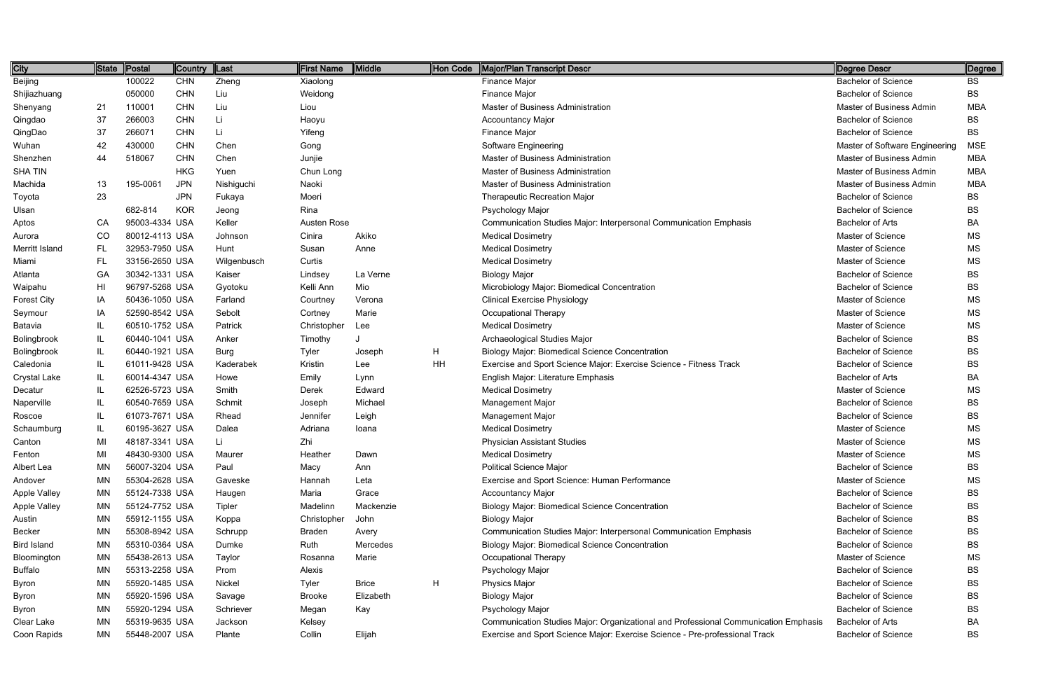| City                | State     | Postal         | Country    | Last        | First Name    | Middle       | Hon Code | Major/Plan Transcript Descr                                                         | Degree Descr                   | Degree     |
|---------------------|-----------|----------------|------------|-------------|---------------|--------------|----------|-------------------------------------------------------------------------------------|--------------------------------|------------|
| Beijing             |           | 100022         | <b>CHN</b> | Zheng       | Xiaolong      |              |          | Finance Major                                                                       | <b>Bachelor of Science</b>     | <b>BS</b>  |
| Shijiazhuang        |           | 050000         | <b>CHN</b> | Liu         | Weidong       |              |          | Finance Major                                                                       | <b>Bachelor of Science</b>     | <b>BS</b>  |
| Shenyang            | 21        | 110001         | <b>CHN</b> | Liu         | Liou          |              |          | Master of Business Administration                                                   | Master of Business Admin       | <b>MBA</b> |
| Qingdao             | 37        | 266003         | <b>CHN</b> | Li          | Haoyu         |              |          | <b>Accountancy Major</b>                                                            | <b>Bachelor of Science</b>     | <b>BS</b>  |
| QingDao             | 37        | 266071         | <b>CHN</b> | Li          | Yifeng        |              |          | Finance Major                                                                       | <b>Bachelor of Science</b>     | <b>BS</b>  |
| Wuhan               | 42        | 430000         | <b>CHN</b> | Chen        | Gong          |              |          | Software Engineering                                                                | Master of Software Engineering | <b>MSE</b> |
| Shenzhen            | 44        | 518067         | <b>CHN</b> | Chen        | Junjie        |              |          | Master of Business Administration                                                   | Master of Business Admin       | <b>MBA</b> |
| <b>SHATIN</b>       |           |                | <b>HKG</b> | Yuen        | Chun Long     |              |          | Master of Business Administration                                                   | Master of Business Admin       | <b>MBA</b> |
| Machida             | 13        | 195-0061       | <b>JPN</b> | Nishiguchi  | Naoki         |              |          | Master of Business Administration                                                   | Master of Business Admin       | <b>MBA</b> |
| Toyota              | 23        |                | <b>JPN</b> | Fukaya      | Moeri         |              |          | <b>Therapeutic Recreation Major</b>                                                 | <b>Bachelor of Science</b>     | <b>BS</b>  |
| Ulsan               |           | 682-814        | <b>KOR</b> | Jeong       | Rina          |              |          | Psychology Major                                                                    | <b>Bachelor of Science</b>     | <b>BS</b>  |
| Aptos               | CA        | 95003-4334 USA |            | Keller      | Austen Rose   |              |          | Communication Studies Major: Interpersonal Communication Emphasis                   | <b>Bachelor of Arts</b>        | BA         |
| Aurora              | CO        | 80012-4113 USA |            | Johnson     | Cinira        | Akiko        |          | <b>Medical Dosimetry</b>                                                            | Master of Science              | MS         |
| Merritt Island      | <b>FL</b> | 32953-7950 USA |            | Hunt        | Susan         | Anne         |          | <b>Medical Dosimetry</b>                                                            | Master of Science              | MS         |
| Miami               | FL        | 33156-2650 USA |            | Wilgenbusch | Curtis        |              |          | <b>Medical Dosimetry</b>                                                            | Master of Science              | <b>MS</b>  |
| Atlanta             | GA        | 30342-1331 USA |            | Kaiser      | Lindsey       | La Verne     |          | <b>Biology Major</b>                                                                | <b>Bachelor of Science</b>     | BS         |
| Waipahu             | HI        | 96797-5268 USA |            | Gyotoku     | Kelli Ann     | Mio          |          | Microbiology Major: Biomedical Concentration                                        | <b>Bachelor of Science</b>     | <b>BS</b>  |
| <b>Forest City</b>  | IA        | 50436-1050 USA |            | Farland     | Courtney      | Verona       |          | <b>Clinical Exercise Physiology</b>                                                 | Master of Science              | <b>MS</b>  |
| Seymour             | IA        | 52590-8542 USA |            | Sebolt      | Cortney       | Marie        |          | <b>Occupational Therapy</b>                                                         | Master of Science              | MS         |
| Batavia             | IL        | 60510-1752 USA |            | Patrick     | Christopher   | Lee          |          | <b>Medical Dosimetry</b>                                                            | Master of Science              | <b>MS</b>  |
| Bolingbrook         | IL        | 60440-1041 USA |            | Anker       | Timothy       |              |          | Archaeological Studies Major                                                        | <b>Bachelor of Science</b>     | <b>BS</b>  |
| Bolingbrook         | IL        | 60440-1921 USA |            | Burg        | Tyler         | Joseph       | H        | <b>Biology Major: Biomedical Science Concentration</b>                              | <b>Bachelor of Science</b>     | <b>BS</b>  |
| Caledonia           | IL        | 61011-9428 USA |            | Kaderabek   | Kristin       | Lee          | HH       | Exercise and Sport Science Major: Exercise Science - Fitness Track                  | <b>Bachelor of Science</b>     | <b>BS</b>  |
| <b>Crystal Lake</b> | IL        | 60014-4347 USA |            | Howe        | Emily         | Lynn         |          | English Major: Literature Emphasis                                                  | <b>Bachelor of Arts</b>        | BA         |
| Decatur             | IL        | 62526-5723 USA |            | Smith       | Derek         | Edward       |          | <b>Medical Dosimetry</b>                                                            | Master of Science              | MS         |
| Naperville          | IL        | 60540-7659 USA |            | Schmit      | Joseph        | Michael      |          | <b>Management Major</b>                                                             | <b>Bachelor of Science</b>     | <b>BS</b>  |
| Roscoe              | IL        | 61073-7671 USA |            | Rhead       | Jennifer      | Leigh        |          | Management Major                                                                    | <b>Bachelor of Science</b>     | <b>BS</b>  |
| Schaumburg          | IL        | 60195-3627 USA |            | Dalea       | Adriana       | Ioana        |          | <b>Medical Dosimetry</b>                                                            | Master of Science              | <b>MS</b>  |
| Canton              | MI        | 48187-3341 USA |            | Ιi          | Zhi           |              |          | <b>Physician Assistant Studies</b>                                                  | Master of Science              | <b>MS</b>  |
| Fenton              | MI        | 48430-9300 USA |            | Maurer      | Heather       | Dawn         |          | <b>Medical Dosimetry</b>                                                            | Master of Science              | MS         |
| Albert Lea          | MN        | 56007-3204 USA |            | Paul        | Масу          | Ann          |          | <b>Political Science Major</b>                                                      | <b>Bachelor of Science</b>     | <b>BS</b>  |
| Andover             | MN        | 55304-2628 USA |            | Gaveske     | Hannah        | Leta         |          | Exercise and Sport Science: Human Performance                                       | Master of Science              | MS         |
| <b>Apple Valley</b> | ΜN        | 55124-7338 USA |            | Haugen      | Maria         | Grace        |          | <b>Accountancy Major</b>                                                            | <b>Bachelor of Science</b>     | <b>BS</b>  |
| <b>Apple Valley</b> | ΜN        | 55124-7752 USA |            | Tipler      | Madelinn      | Mackenzie    |          | <b>Biology Major: Biomedical Science Concentration</b>                              | <b>Bachelor of Science</b>     | BS         |
| Austin              | MN        | 55912-1155 USA |            | Koppa       | Christopher   | John         |          | <b>Biology Major</b>                                                                | <b>Bachelor of Science</b>     | <b>BS</b>  |
| Becker              | MN        | 55308-8942 USA |            | Schrupp     | Braden        | Avery        |          | Communication Studies Major: Interpersonal Communication Emphasis                   | <b>Bachelor of Science</b>     | BS         |
| <b>Bird Island</b>  | ΜN        | 55310-0364 USA |            | Dumke       | Ruth          | Mercedes     |          | <b>Biology Major: Biomedical Science Concentration</b>                              | <b>Bachelor of Science</b>     | <b>BS</b>  |
| Bloomington         | MN        | 55438-2613 USA |            | Taylor      | Rosanna       | Marie        |          | Occupational Therapy                                                                | Master of Science              | MS         |
| <b>Buffalo</b>      | MN        | 55313-2258 USA |            | Prom        | Alexis        |              |          | Psychology Major                                                                    | <b>Bachelor of Science</b>     | <b>BS</b>  |
| Byron               | <b>MN</b> | 55920-1485 USA |            | Nickel      | Tyler         | <b>Brice</b> | H        | <b>Physics Major</b>                                                                | <b>Bachelor of Science</b>     | BS         |
| Byron               | MN        | 55920-1596 USA |            | Savage      | <b>Brooke</b> | Elizabeth    |          | <b>Biology Major</b>                                                                | <b>Bachelor of Science</b>     | <b>BS</b>  |
| Byron               | MN        | 55920-1294 USA |            | Schriever   | Megan         | Kay          |          | Psychology Major                                                                    | <b>Bachelor of Science</b>     | BS         |
| Clear Lake          | ΜN        | 55319-9635 USA |            | Jackson     | Kelsey        |              |          | Communication Studies Major: Organizational and Professional Communication Emphasis | <b>Bachelor of Arts</b>        | BA         |
| Coon Rapids         | MN        | 55448-2007 USA |            | Plante      | Collin        | Elijah       |          | Exercise and Sport Science Major: Exercise Science - Pre-professional Track         | <b>Bachelor of Science</b>     | BS         |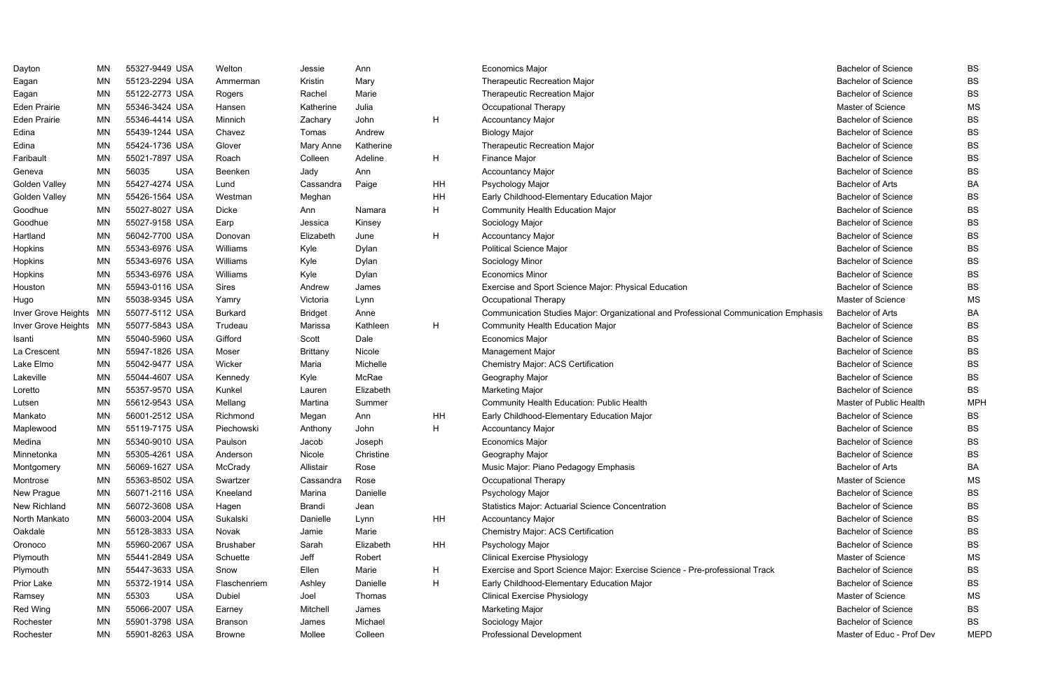| Dayton                 | ΜN        | 55327-9449 USA      | Welton           | Jessie          | Ann       |    | <b>Economics Major</b>                                                              | <b>Bachelor of Science</b> | BS          |
|------------------------|-----------|---------------------|------------------|-----------------|-----------|----|-------------------------------------------------------------------------------------|----------------------------|-------------|
| Eagan                  | MN        | 55123-2294 USA      | Ammerman         | Kristin         | Mary      |    | Therapeutic Recreation Major                                                        | <b>Bachelor of Science</b> | <b>BS</b>   |
| Eagan                  | <b>MN</b> | 55122-2773 USA      | Rogers           | Rachel          | Marie     |    | Therapeutic Recreation Major                                                        | <b>Bachelor of Science</b> | <b>BS</b>   |
| <b>Eden Prairie</b>    | MN        | 55346-3424 USA      | Hansen           | Katherine       | Julia     |    | Occupational Therapy                                                                | Master of Science          | <b>MS</b>   |
| <b>Eden Prairie</b>    | MN        | 55346-4414 USA      | Minnich          | Zachary         | John      | H  | <b>Accountancy Major</b>                                                            | <b>Bachelor of Science</b> | <b>BS</b>   |
| Edina                  | MN        | 55439-1244 USA      | Chavez           | Tomas           | Andrew    |    | <b>Biology Major</b>                                                                | <b>Bachelor of Science</b> | <b>BS</b>   |
| Edina                  | <b>MN</b> | 55424-1736 USA      | Glover           | Mary Anne       | Katherine |    | Therapeutic Recreation Major                                                        | <b>Bachelor of Science</b> | <b>BS</b>   |
| Faribault              | MN        | 55021-7897 USA      | Roach            | Colleen         | Adeline   | H  | Finance Major                                                                       | <b>Bachelor of Science</b> | <b>BS</b>   |
| Geneva                 | <b>MN</b> | 56035<br><b>USA</b> | Beenken          | Jady            | Ann       |    | <b>Accountancy Major</b>                                                            | <b>Bachelor of Science</b> | <b>BS</b>   |
| Golden Valley          | MN        | 55427-4274 USA      | Lund             | Cassandra       | Paige     | HH | Psychology Major                                                                    | <b>Bachelor of Arts</b>    | BA          |
| Golden Valley          | ΜN        | 55426-1564 USA      | Westman          | Meghan          |           | HH | Early Childhood-Elementary Education Major                                          | <b>Bachelor of Science</b> | <b>BS</b>   |
| Goodhue                | MN        | 55027-8027 USA      | <b>Dicke</b>     | Ann             | Namara    | H  | <b>Community Health Education Major</b>                                             | <b>Bachelor of Science</b> | <b>BS</b>   |
| Goodhue                | <b>MN</b> | 55027-9158 USA      | Earp             | Jessica         | Kinsey    |    | Sociology Major                                                                     | <b>Bachelor of Science</b> | <b>BS</b>   |
| Hartland               | MN        | 56042-7700 USA      | Donovan          | Elizabeth       | June      | H  | Accountancy Major                                                                   | <b>Bachelor of Science</b> | <b>BS</b>   |
| Hopkins                | MN        | 55343-6976 USA      | Williams         | Kyle            | Dylan     |    | <b>Political Science Major</b>                                                      | <b>Bachelor of Science</b> | <b>BS</b>   |
| Hopkins                | MN        | 55343-6976 USA      | Williams         | Kyle            | Dylan     |    | Sociology Minor                                                                     | <b>Bachelor of Science</b> | <b>BS</b>   |
| Hopkins                | <b>MN</b> | 55343-6976 USA      | Williams         | Kyle            | Dylan     |    | <b>Economics Minor</b>                                                              | <b>Bachelor of Science</b> | <b>BS</b>   |
| Houston                | MN        | 55943-0116 USA      | Sires            | Andrew          | James     |    | Exercise and Sport Science Major: Physical Education                                | <b>Bachelor of Science</b> | <b>BS</b>   |
| Hugo                   | <b>MN</b> | 55038-9345 USA      | Yamry            | Victoria        | Lynn      |    | Occupational Therapy                                                                | <b>Master of Science</b>   | MS          |
| Inver Grove Heights MN |           | 55077-5112 USA      | <b>Burkard</b>   | <b>Bridget</b>  | Anne      |    | Communication Studies Major: Organizational and Professional Communication Emphasis | <b>Bachelor of Arts</b>    | BA          |
| Inver Grove Heights MN |           | 55077-5843 USA      | Trudeau          | Marissa         | Kathleen  | H  | Community Health Education Major                                                    | <b>Bachelor of Science</b> | BS          |
| Isanti                 | MN        | 55040-5960 USA      | Gifford          | Scott           | Dale      |    | <b>Economics Major</b>                                                              | <b>Bachelor of Science</b> | <b>BS</b>   |
| La Crescent            | <b>MN</b> | 55947-1826 USA      | Moser            | <b>Brittany</b> | Nicole    |    | Management Major                                                                    | <b>Bachelor of Science</b> | <b>BS</b>   |
| Lake Elmo              | MN        | 55042-9477 USA      | Wicker           | Maria           | Michelle  |    | Chemistry Major: ACS Certification                                                  | <b>Bachelor of Science</b> | <b>BS</b>   |
| Lakeville              | MN        | 55044-4607 USA      | Kennedy          | Kyle            | McRae     |    | Geography Major                                                                     | <b>Bachelor of Science</b> | <b>BS</b>   |
| Loretto                | MN        | 55357-9570 USA      | Kunkel           | Lauren          | Elizabeth |    | <b>Marketing Major</b>                                                              | <b>Bachelor of Science</b> | <b>BS</b>   |
| Lutsen                 | <b>MN</b> | 55612-9543 USA      | Mellang          | Martina         | Summer    |    | <b>Community Health Education: Public Health</b>                                    | Master of Public Health    | <b>MPH</b>  |
| Mankato                | MN        | 56001-2512 USA      | Richmond         | Megan           | Ann       | HH | Early Childhood-Elementary Education Major                                          | <b>Bachelor of Science</b> | <b>BS</b>   |
| Maplewood              | MN        | 55119-7175 USA      | Piechowski       | Anthony         | John      | H  | <b>Accountancy Major</b>                                                            | <b>Bachelor of Science</b> | <b>BS</b>   |
| Medina                 | MN        | 55340-9010 USA      | Paulson          | Jacob           | Joseph    |    | <b>Economics Major</b>                                                              | <b>Bachelor of Science</b> | <b>BS</b>   |
| Minnetonka             | MN        | 55305-4261 USA      | Anderson         | Nicole          | Christine |    | Geography Major                                                                     | <b>Bachelor of Science</b> | <b>BS</b>   |
| Montgomery             | MN        | 56069-1627 USA      | McCrady          | Allistair       | Rose      |    | Music Major: Piano Pedagogy Emphasis                                                | <b>Bachelor of Arts</b>    | BA          |
| Montrose               | ΜN        | 55363-8502 USA      | Swartzer         | Cassandra       | Rose      |    | Occupational Therapy                                                                | Master of Science          | MS          |
| New Prague             | ΜN        | 56071-2116 USA      | Kneeland         | Marina          | Danielle  |    | Psychology Major                                                                    | <b>Bachelor of Science</b> | <b>BS</b>   |
| New Richland           | ΜN        | 56072-3608 USA      | Hagen            | <b>Brandi</b>   | Jean      |    | <b>Statistics Major: Actuarial Science Concentration</b>                            | <b>Bachelor of Science</b> | <b>BS</b>   |
| North Mankato          | ΜN        | 56003-2004 USA      | Sukalski         | Danielle        | Lynn      | HH | <b>Accountancy Major</b>                                                            | <b>Bachelor of Science</b> | <b>BS</b>   |
| Oakdale                | ΜN        | 55128-3833 USA      | Novak            | Jamie           | Marie     |    | <b>Chemistry Major: ACS Certification</b>                                           | <b>Bachelor of Science</b> | <b>BS</b>   |
| Oronoco                | MN        | 55960-2067 USA      | <b>Brushaber</b> | Sarah           | Elizabeth | HH | Psychology Major                                                                    | <b>Bachelor of Science</b> | <b>BS</b>   |
| Plymouth               | <b>MN</b> | 55441-2849 USA      | Schuette         | Jeff            | Robert    |    | <b>Clinical Exercise Physiology</b>                                                 | Master of Science          | <b>MS</b>   |
| Plymouth               | <b>MN</b> | 55447-3633 USA      | Snow             | Ellen           | Marie     | H  | Exercise and Sport Science Major: Exercise Science - Pre-professional Track         | <b>Bachelor of Science</b> | <b>BS</b>   |
| Prior Lake             | ΜN        | 55372-1914 USA      | Flaschenriem     | Ashley          | Danielle  | H  | Early Childhood-Elementary Education Major                                          | <b>Bachelor of Science</b> | <b>BS</b>   |
| Ramsey                 | <b>MN</b> | 55303<br><b>USA</b> | Dubiel           | Joel            | Thomas    |    | <b>Clinical Exercise Physiology</b>                                                 | Master of Science          | MS          |
| Red Wing               | <b>MN</b> | 55066-2007 USA      | Earney           | Mitchell        | James     |    | <b>Marketing Major</b>                                                              | <b>Bachelor of Science</b> | <b>BS</b>   |
| Rochester              | <b>MN</b> | 55901-3798 USA      | <b>Branson</b>   | James           | Michael   |    | Sociology Major                                                                     | <b>Bachelor of Science</b> | <b>BS</b>   |
| Rochester              | <b>MN</b> | 55901-8263 USA      | Browne           | Mollee          | Colleen   |    | Professional Development                                                            | Master of Educ - Prof Dev  | <b>MEPD</b> |
|                        |           |                     |                  |                 |           |    |                                                                                     |                            |             |

|         | Bachelor of Science        | BS          |
|---------|----------------------------|-------------|
|         | <b>Bachelor of Science</b> | BS          |
|         | <b>Bachelor of Science</b> | BS          |
|         | <b>Master of Science</b>   | МS          |
|         | <b>Bachelor of Science</b> | BS          |
|         | <b>Bachelor of Science</b> | BS          |
|         | <b>Bachelor of Science</b> | BS          |
|         | <b>Bachelor of Science</b> | BS          |
|         | <b>Bachelor of Science</b> | BS          |
|         | <b>Bachelor of Arts</b>    | BA          |
|         | <b>Bachelor of Science</b> | BS          |
|         | <b>Bachelor of Science</b> | BS          |
|         | <b>Bachelor of Science</b> | BS          |
|         | <b>Bachelor of Science</b> | BS          |
|         | <b>Bachelor of Science</b> | BS          |
|         | <b>Bachelor of Science</b> | BS          |
|         | <b>Bachelor of Science</b> | BS          |
|         | <b>Bachelor of Science</b> | BS          |
|         | Master of Science          | MS          |
| iphasis | Bachelor of Arts           | BA          |
|         | <b>Bachelor of Science</b> | BS          |
|         | <b>Bachelor of Science</b> | BS          |
|         | <b>Bachelor of Science</b> | BS          |
|         | Bachelor of Science        | BS          |
|         | <b>Bachelor of Science</b> | BS          |
|         | <b>Bachelor of Science</b> | BS          |
|         | Master of Public Health    | <b>MPH</b>  |
|         | Bachelor of Science        | BS          |
|         | <b>Bachelor of Science</b> | BS          |
|         | <b>Bachelor of Science</b> | BS          |
|         | <b>Bachelor of Science</b> | BS          |
|         | <b>Bachelor of Arts</b>    | BA          |
|         | Master of Science          | ΜS          |
|         | Bachelor of Science        | BS          |
|         | <b>Bachelor of Science</b> | BS          |
|         | Bachelor of Science        | BS          |
|         | <b>Bachelor of Science</b> | BS          |
|         | Bachelor of Science        | BS          |
|         | Master of Science          | ΜS          |
|         | <b>Bachelor of Science</b> | BS          |
|         | <b>Bachelor of Science</b> | BS          |
|         | Master of Science          | МS          |
|         | <b>Bachelor of Science</b> | BS          |
|         | Bachelor of Science        | BS          |
|         | Master of Educ - Prof Dev  | <b>MEPD</b> |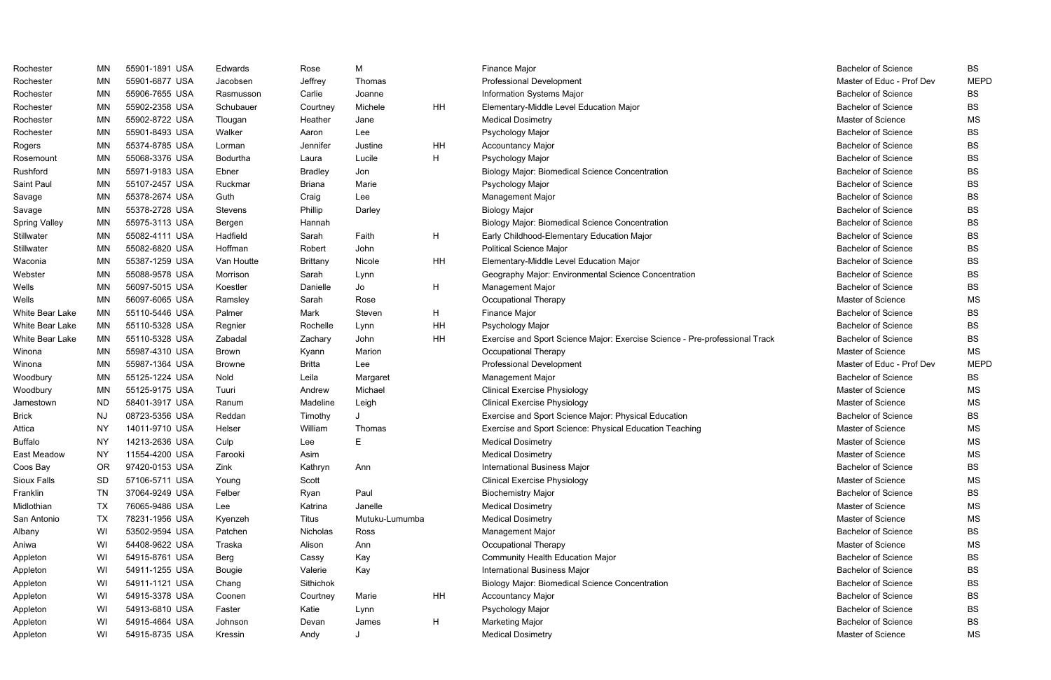| Rochester            | ΜN        | 55901-1891 USA | Edwards       | Rose            | M              |    | <b>Finance Major</b>                                                        | <b>Bachelor of Science</b> | <b>BS</b>   |
|----------------------|-----------|----------------|---------------|-----------------|----------------|----|-----------------------------------------------------------------------------|----------------------------|-------------|
| Rochester            | <b>MN</b> | 55901-6877 USA | Jacobsen      | Jeffrey         | Thomas         |    | <b>Professional Development</b>                                             | Master of Educ - Prof Dev  | <b>MEPD</b> |
| Rochester            | MN        | 55906-7655 USA | Rasmusson     | Carlie          | Joanne         |    | Information Systems Major                                                   | <b>Bachelor of Science</b> | BS          |
| Rochester            | <b>MN</b> | 55902-2358 USA | Schubauer     | Courtney        | Michele        | HH | Elementary-Middle Level Education Major                                     | <b>Bachelor of Science</b> | <b>BS</b>   |
| Rochester            | <b>MN</b> | 55902-8722 USA | Tlougan       | Heather         | Jane           |    | <b>Medical Dosimetry</b>                                                    | Master of Science          | <b>MS</b>   |
| Rochester            | <b>MN</b> | 55901-8493 USA | Walker        | Aaron           | Lee            |    | Psychology Major                                                            | <b>Bachelor of Science</b> | <b>BS</b>   |
| Rogers               | <b>MN</b> | 55374-8785 USA | Lorman        | Jennifer        | Justine        | HH | Accountancy Major                                                           | <b>Bachelor of Science</b> | <b>BS</b>   |
| Rosemount            | MN        | 55068-3376 USA | Bodurtha      | Laura           | Lucile         | H  | Psychology Major                                                            | <b>Bachelor of Science</b> | <b>BS</b>   |
| Rushford             | <b>MN</b> | 55971-9183 USA | Ebner         | <b>Bradley</b>  | Jon            |    | <b>Biology Major: Biomedical Science Concentration</b>                      | <b>Bachelor of Science</b> | <b>BS</b>   |
| Saint Paul           | <b>MN</b> | 55107-2457 USA | Ruckmar       | <b>Briana</b>   | Marie          |    | Psychology Major                                                            | <b>Bachelor of Science</b> | <b>BS</b>   |
| Savage               | <b>MN</b> | 55378-2674 USA | Guth          | Craig           | Lee            |    | Management Major                                                            | <b>Bachelor of Science</b> | <b>BS</b>   |
| Savage               | <b>MN</b> | 55378-2728 USA | Stevens       | Phillip         | Darley         |    | <b>Biology Major</b>                                                        | <b>Bachelor of Science</b> | <b>BS</b>   |
| <b>Spring Valley</b> | <b>MN</b> | 55975-3113 USA | Bergen        | Hannah          |                |    | <b>Biology Major: Biomedical Science Concentration</b>                      | <b>Bachelor of Science</b> | <b>BS</b>   |
| Stillwater           | <b>MN</b> | 55082-4111 USA | Hadfield      | Sarah           | Faith          | H  | Early Childhood-Elementary Education Major                                  | <b>Bachelor of Science</b> | <b>BS</b>   |
| Stillwater           | <b>MN</b> | 55082-6820 USA | Hoffman       | Robert          | John           |    | <b>Political Science Major</b>                                              | <b>Bachelor of Science</b> | <b>BS</b>   |
| Waconia              | <b>MN</b> | 55387-1259 USA | Van Houtte    | <b>Brittany</b> | Nicole         | HH | Elementary-Middle Level Education Major                                     | <b>Bachelor of Science</b> | <b>BS</b>   |
| Webster              | <b>MN</b> | 55088-9578 USA | Morrison      | Sarah           | Lynn           |    | Geography Major: Environmental Science Concentration                        | <b>Bachelor of Science</b> | <b>BS</b>   |
| Wells                | <b>MN</b> | 56097-5015 USA | Koestler      | Danielle        | Jo             | H  | Management Major                                                            | <b>Bachelor of Science</b> | <b>BS</b>   |
| Wells                | <b>MN</b> | 56097-6065 USA | Ramsley       | Sarah           | Rose           |    | Occupational Therapy                                                        | Master of Science          | <b>MS</b>   |
| White Bear Lake      | <b>MN</b> | 55110-5446 USA | Palmer        | Mark            | Steven         | H  | Finance Major                                                               | <b>Bachelor of Science</b> | <b>BS</b>   |
| White Bear Lake      | <b>MN</b> | 55110-5328 USA | Regnier       | Rochelle        | Lynn           | HH | Psychology Major                                                            | <b>Bachelor of Science</b> | <b>BS</b>   |
| White Bear Lake      | ΜN        | 55110-5328 USA | Zabadal       | Zachary         | John           | HH | Exercise and Sport Science Major: Exercise Science - Pre-professional Track | <b>Bachelor of Science</b> | <b>BS</b>   |
| Winona               | MN        | 55987-4310 USA | <b>Brown</b>  | Kyann           | Marion         |    | Occupational Therapy                                                        | Master of Science          | <b>MS</b>   |
| Winona               | MN        | 55987-1364 USA | <b>Browne</b> | Britta          | Lee            |    | <b>Professional Development</b>                                             | Master of Educ - Prof Dev  | <b>MEPD</b> |
| Woodbury             | <b>MN</b> | 55125-1224 USA | Nold          | Leila           | Margaret       |    | Management Major                                                            | <b>Bachelor of Science</b> | <b>BS</b>   |
| Woodbury             | MN        | 55125-9175 USA | Tuuri         | Andrew          | Michael        |    | <b>Clinical Exercise Physiology</b>                                         | Master of Science          | MS          |
| Jamestown            | <b>ND</b> | 58401-3917 USA | Ranum         | Madeline        | Leigh          |    | <b>Clinical Exercise Physiology</b>                                         | Master of Science          | MS          |
| <b>Brick</b>         | <b>NJ</b> | 08723-5356 USA | Reddan        | Timothy         |                |    | Exercise and Sport Science Major: Physical Education                        | <b>Bachelor of Science</b> | <b>BS</b>   |
| Attica               | <b>NY</b> | 14011-9710 USA | Helser        | William         | Thomas         |    | Exercise and Sport Science: Physical Education Teaching                     | Master of Science          | <b>MS</b>   |
| <b>Buffalo</b>       | ΝY        | 14213-2636 USA | Culp          | Lee             |                |    | <b>Medical Dosimetry</b>                                                    | <b>Master of Science</b>   | <b>MS</b>   |
| East Meadow          | NY        | 11554-4200 USA | Farooki       | Asim            |                |    | <b>Medical Dosimetry</b>                                                    | Master of Science          | МS          |
| Coos Bay             | <b>OR</b> | 97420-0153 USA | Zink          | Kathryn         | Ann            |    | International Business Major                                                | <b>Bachelor of Science</b> | <b>BS</b>   |
| Sioux Falls          | SD        | 57106-5711 USA | Young         | Scott           |                |    | <b>Clinical Exercise Physiology</b>                                         | Master of Science          | <b>MS</b>   |
| Franklin             | <b>TN</b> | 37064-9249 USA | Felber        | Ryan            | Paul           |    | <b>Biochemistry Major</b>                                                   | <b>Bachelor of Science</b> | <b>BS</b>   |
| Midlothian           | TX        | 76065-9486 USA | Lee           | Katrina         | Janelle        |    | <b>Medical Dosimetry</b>                                                    | Master of Science          | MS          |
| San Antonio          | TX        | 78231-1956 USA | Kyenzeh       | Titus           | Mutuku-Lumumba |    | <b>Medical Dosimetry</b>                                                    | Master of Science          | <b>MS</b>   |
| Albany               | WI        | 53502-9594 USA | Patchen       | Nicholas        | Ross           |    | Management Major                                                            | <b>Bachelor of Science</b> | <b>BS</b>   |
| Aniwa                | WI        | 54408-9622 USA | Traska        | Alison          | Ann            |    | Occupational Therapy                                                        | Master of Science          | MS          |
| Appleton             | WI        | 54915-8761 USA | Berg          | Cassy           | Kay            |    | <b>Community Health Education Major</b>                                     | <b>Bachelor of Science</b> | <b>BS</b>   |
| Appleton             | WI        | 54911-1255 USA | Bougie        | Valerie         | Kay            |    | International Business Major                                                | <b>Bachelor of Science</b> | BS          |
| Appleton             | WI        | 54911-1121 USA | Chang         | Sithichok       |                |    | <b>Biology Major: Biomedical Science Concentration</b>                      | <b>Bachelor of Science</b> | <b>BS</b>   |
| Appleton             | WI        | 54915-3378 USA | Coonen        | Courtney        | Marie          | HH | <b>Accountancy Major</b>                                                    | <b>Bachelor of Science</b> | <b>BS</b>   |
| Appleton             | WI        | 54913-6810 USA | Faster        | Katie           | Lynn           |    | Psychology Major                                                            | <b>Bachelor of Science</b> | <b>BS</b>   |
| Appleton             | WI        | 54915-4664 USA | Johnson       | Devan           | James          | H  | Marketing Major                                                             | <b>Bachelor of Science</b> | <b>BS</b>   |
| Appleton             | WI        | 54915-8735 USA | Kressin       | Andy            |                |    | <b>Medical Dosimetry</b>                                                    | Master of Science          | MS          |

| <b>Bachelor of Science</b> | BS          |
|----------------------------|-------------|
| Master of Educ - Prof Dev  | <b>MEPD</b> |
| <b>Bachelor of Science</b> | <b>BS</b>   |
| <b>Bachelor of Science</b> | BS          |
| Master of Science          | МS          |
| <b>Bachelor of Science</b> | BS          |
| <b>Bachelor of Science</b> | BS          |
| <b>Bachelor of Science</b> | <b>BS</b>   |
| <b>Bachelor of Science</b> | <b>BS</b>   |
| <b>Bachelor of Science</b> | BS          |
| <b>Bachelor of Science</b> | BS          |
| <b>Bachelor of Science</b> | BS          |
| <b>Bachelor of Science</b> | BS          |
| <b>Bachelor of Science</b> | BS          |
| <b>Bachelor of Science</b> | BS          |
| <b>Bachelor of Science</b> | BS          |
| <b>Bachelor of Science</b> | BS          |
| <b>Bachelor of Science</b> | BS          |
| Master of Science          | ΜS          |
| <b>Bachelor of Science</b> | BS          |
| Bachelor of Science        | BS          |
| <b>Bachelor of Science</b> | BS          |
|                            |             |
| Master of Science          | ΜS          |
| Master of Educ - Prof Dev  | <b>MEPD</b> |
| <b>Bachelor of Science</b> | BS          |
| Master of Science          | <b>MS</b>   |
| Master of Science          | ΜS          |
| <b>Bachelor of Science</b> | BS          |
| Master of Science          | ΜS          |
| <b>Master of Science</b>   | MS          |
| Master of Science          | ΜS          |
| <b>Bachelor of Science</b> | BS          |
| Master of Science          | ΜS          |
| <b>Bachelor of Science</b> | BS          |
| Master of Science          | ΜS          |
| Master of Science          | MS          |
| <b>Bachelor of Science</b> | BS          |
| Master of Science          | ΜS          |
| <b>Bachelor of Science</b> | <b>BS</b>   |
| <b>Bachelor of Science</b> | BS          |
| <b>Bachelor of Science</b> | <b>BS</b>   |
| <b>Bachelor of Science</b> | BS          |
| Bachelor of Science        | BS          |
| <b>Bachelor of Science</b> | BS          |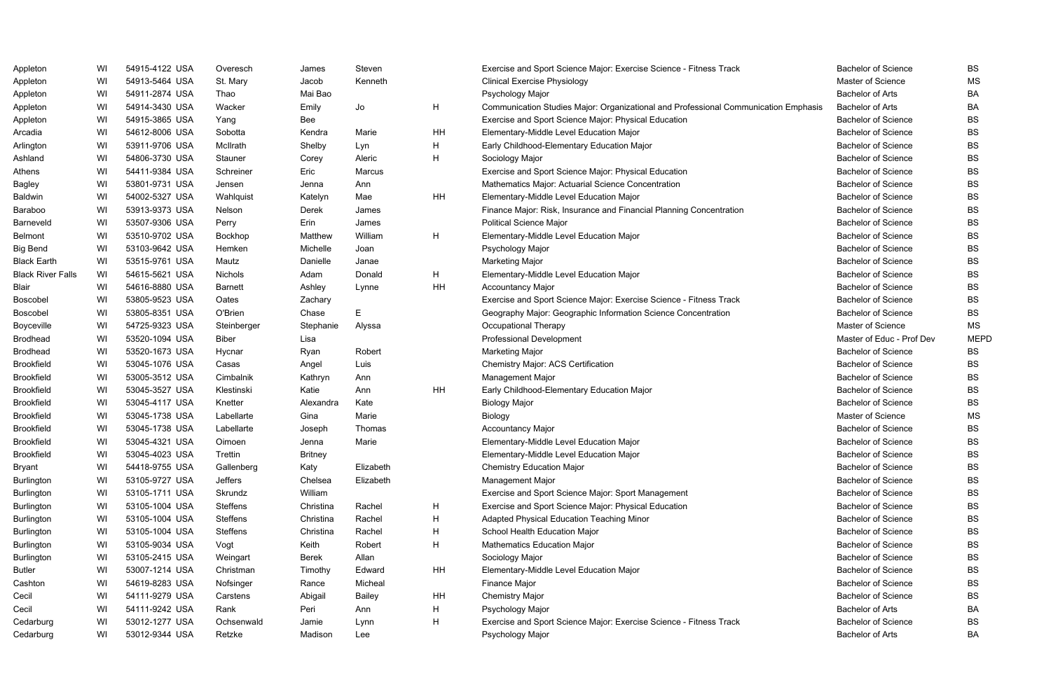| Appleton                 | WI | 54915-4122 USA | Overesch        | James          | Steven        |    | Exercise and Sport Science Major: Exercise Science - Fitness Track                  | <b>Bachelor of Science</b> | <b>BS</b>   |
|--------------------------|----|----------------|-----------------|----------------|---------------|----|-------------------------------------------------------------------------------------|----------------------------|-------------|
| Appleton                 | WI | 54913-5464 USA | St. Mary        | Jacob          | Kenneth       |    | <b>Clinical Exercise Physiology</b>                                                 | Master of Science          | <b>MS</b>   |
| Appleton                 | WI | 54911-2874 USA | Thao            | Mai Bao        |               |    | Psychology Major                                                                    | <b>Bachelor of Arts</b>    | BA          |
| Appleton                 | WI | 54914-3430 USA | Wacker          | Emily          | Jo            | H  | Communication Studies Major: Organizational and Professional Communication Emphasis | <b>Bachelor of Arts</b>    | BA          |
| Appleton                 | WI | 54915-3865 USA | Yang            | Bee            |               |    | Exercise and Sport Science Major: Physical Education                                | <b>Bachelor of Science</b> | <b>BS</b>   |
| Arcadia                  | WI | 54612-8006 USA | Sobotta         | Kendra         | Marie         | HH | Elementary-Middle Level Education Major                                             | <b>Bachelor of Science</b> | <b>BS</b>   |
| Arlington                | WI | 53911-9706 USA | McIlrath        | Shelby         | Lyn           | H  | Early Childhood-Elementary Education Major                                          | <b>Bachelor of Science</b> | <b>BS</b>   |
| Ashland                  | WI | 54806-3730 USA | Stauner         | Corey          | Aleric        | H  | Sociology Major                                                                     | <b>Bachelor of Science</b> | <b>BS</b>   |
| Athens                   | WI | 54411-9384 USA | Schreiner       | Eric           | Marcus        |    | Exercise and Sport Science Major: Physical Education                                | <b>Bachelor of Science</b> | <b>BS</b>   |
| <b>Bagley</b>            | WI | 53801-9731 USA | Jensen          | Jenna          | Ann           |    | Mathematics Major: Actuarial Science Concentration                                  | <b>Bachelor of Science</b> | <b>BS</b>   |
| Baldwin                  | WI | 54002-5327 USA | Wahlquist       | Katelyn        | Mae           | HH | Elementary-Middle Level Education Major                                             | <b>Bachelor of Science</b> | <b>BS</b>   |
| Baraboo                  | WI | 53913-9373 USA | Nelson          | Derek          | James         |    | Finance Major: Risk, Insurance and Financial Planning Concentration                 | <b>Bachelor of Science</b> | <b>BS</b>   |
| Barneveld                | WI | 53507-9306 USA | Perry           | Erin           | James         |    | <b>Political Science Major</b>                                                      | <b>Bachelor of Science</b> | <b>BS</b>   |
| <b>Belmont</b>           | WI | 53510-9702 USA | Bockhop         | Matthew        | William       | H  | Elementary-Middle Level Education Major                                             | <b>Bachelor of Science</b> | <b>BS</b>   |
| <b>Big Bend</b>          | WI | 53103-9642 USA | Hemken          | Michelle       | Joan          |    | Psychology Major                                                                    | <b>Bachelor of Science</b> | <b>BS</b>   |
| <b>Black Earth</b>       | WI | 53515-9761 USA | Mautz           | Danielle       | Janae         |    | Marketing Major                                                                     | <b>Bachelor of Science</b> | <b>BS</b>   |
| <b>Black River Falls</b> | WI | 54615-5621 USA | Nichols         | Adam           | Donald        | H  | Elementary-Middle Level Education Major                                             | <b>Bachelor of Science</b> | <b>BS</b>   |
| Blair                    | WI | 54616-8880 USA | <b>Barnett</b>  | Ashley         | Lynne         | HH | <b>Accountancy Major</b>                                                            | <b>Bachelor of Science</b> | <b>BS</b>   |
| Boscobel                 | WI | 53805-9523 USA | Oates           | Zachary        |               |    | Exercise and Sport Science Major: Exercise Science - Fitness Track                  | <b>Bachelor of Science</b> | <b>BS</b>   |
| <b>Boscobel</b>          | WI | 53805-8351 USA | O'Brien         | Chase          | E.            |    | Geography Major: Geographic Information Science Concentration                       | <b>Bachelor of Science</b> | <b>BS</b>   |
| Boyceville               | WI | 54725-9323 USA | Steinberger     | Stephanie      | Alyssa        |    | Occupational Therapy                                                                | Master of Science          | <b>MS</b>   |
| <b>Brodhead</b>          | WI | 53520-1094 USA | Biber           | Lisa           |               |    | Professional Development                                                            | Master of Educ - Prof Dev  | <b>MEPD</b> |
| <b>Brodhead</b>          | WI | 53520-1673 USA | Hycnar          | Ryan           | Robert        |    | Marketing Major                                                                     | <b>Bachelor of Science</b> | BS          |
| <b>Brookfield</b>        | WI | 53045-1076 USA | Casas           | Angel          | Luis          |    | <b>Chemistry Major: ACS Certification</b>                                           | <b>Bachelor of Science</b> | <b>BS</b>   |
| Brookfield               | WI | 53005-3512 USA | Cimbalnik       | Kathryn        | Ann           |    | Management Major                                                                    | <b>Bachelor of Science</b> | <b>BS</b>   |
| <b>Brookfield</b>        | WI | 53045-3527 USA | Klestinski      | Katie          | Ann           | HH | Early Childhood-Elementary Education Major                                          | <b>Bachelor of Science</b> | <b>BS</b>   |
| <b>Brookfield</b>        | WI | 53045-4117 USA | Knetter         | Alexandra      | Kate          |    | <b>Biology Major</b>                                                                | <b>Bachelor of Science</b> | <b>BS</b>   |
| <b>Brookfield</b>        | WI | 53045-1738 USA | Labellarte      | Gina           | Marie         |    | Biology                                                                             | Master of Science          | <b>MS</b>   |
| <b>Brookfield</b>        | WI | 53045-1738 USA | Labellarte      | Joseph         | Thomas        |    | <b>Accountancy Major</b>                                                            | <b>Bachelor of Science</b> | <b>BS</b>   |
| <b>Brookfield</b>        | WI | 53045-4321 USA | Oimoen          | Jenna          | Marie         |    | Elementary-Middle Level Education Major                                             | <b>Bachelor of Science</b> | <b>BS</b>   |
| <b>Brookfield</b>        | WI | 53045-4023 USA | Trettin         | <b>Britney</b> |               |    | Elementary-Middle Level Education Major                                             | <b>Bachelor of Science</b> | BS          |
| <b>Bryant</b>            | WI | 54418-9755 USA | Gallenberg      | Katy           | Elizabeth     |    | <b>Chemistry Education Major</b>                                                    | <b>Bachelor of Science</b> | <b>BS</b>   |
| Burlington               | WI | 53105-9727 USA | Jeffers         | Chelsea        | Elizabeth     |    | Management Major                                                                    | <b>Bachelor of Science</b> | <b>BS</b>   |
| Burlington               | WI | 53105-1711 USA | Skrundz         | William        |               |    | Exercise and Sport Science Major: Sport Management                                  | <b>Bachelor of Science</b> | <b>BS</b>   |
| Burlington               | WI | 53105-1004 USA | Steffens        | Christina      | Rachel        | H  | Exercise and Sport Science Major: Physical Education                                | <b>Bachelor of Science</b> | <b>BS</b>   |
| Burlington               | WI | 53105-1004 USA | Steffens        | Christina      | Rachel        | H  | Adapted Physical Education Teaching Minor                                           | <b>Bachelor of Science</b> | <b>BS</b>   |
| Burlington               | WI | 53105-1004 USA | <b>Steffens</b> | Christina      | Rachel        | H  | School Health Education Major                                                       | <b>Bachelor of Science</b> | <b>BS</b>   |
| Burlington               | WI | 53105-9034 USA | Vogt            | Keith          | Robert        | H  | <b>Mathematics Education Major</b>                                                  | <b>Bachelor of Science</b> | <b>BS</b>   |
| Burlington               | WI | 53105-2415 USA | Weingart        | Berek          | Allan         |    | Sociology Major                                                                     | <b>Bachelor of Science</b> | <b>BS</b>   |
| <b>Butler</b>            | WI | 53007-1214 USA | Christman       | Timothy        | Edward        | HH | Elementary-Middle Level Education Major                                             | <b>Bachelor of Science</b> | <b>BS</b>   |
| Cashton                  | WI | 54619-8283 USA | Nofsinger       | Rance          | Micheal       |    | Finance Major                                                                       | <b>Bachelor of Science</b> | <b>BS</b>   |
| Cecil                    | WI | 54111-9279 USA | Carstens        | Abigail        | <b>Bailey</b> | HH | <b>Chemistry Major</b>                                                              | <b>Bachelor of Science</b> | <b>BS</b>   |
| Cecil                    | WI | 54111-9242 USA | Rank            | Peri           | Ann           | H  | Psychology Major                                                                    | <b>Bachelor of Arts</b>    | BA          |
| Cedarburg                | WI | 53012-1277 USA | Ochsenwald      | Jamie          | Lynn          | H  | Exercise and Sport Science Major: Exercise Science - Fitness Track                  | <b>Bachelor of Science</b> | <b>BS</b>   |
| Cedarburg                | WI | 53012-9344 USA | Retzke          | Madison        | Lee           |    | Psychology Major                                                                    | <b>Bachelor of Arts</b>    | BA          |
|                          |    |                |                 |                |               |    |                                                                                     |                            |             |

|             | <b>Bachelor of Science</b> | BS        |
|-------------|----------------------------|-----------|
|             | Master of Science          | ΜS        |
|             | <b>Bachelor of Arts</b>    | BA        |
| on Emphasis | <b>Bachelor of Arts</b>    | BA        |
|             | <b>Bachelor of Science</b> | BS        |
|             | <b>Bachelor of Science</b> | BS        |
|             | <b>Bachelor of Science</b> | BS        |
|             | <b>Bachelor of Science</b> | <b>BS</b> |
|             | <b>Bachelor of Science</b> | BS        |
|             | <b>Bachelor of Science</b> | BS        |
|             | <b>Bachelor of Science</b> | BS        |
|             | <b>Bachelor of Science</b> | <b>BS</b> |
|             | <b>Bachelor of Science</b> | BS        |
|             | <b>Bachelor of Science</b> | BS        |
|             | <b>Bachelor of Science</b> | BS        |
|             | <b>Bachelor of Science</b> | <b>BS</b> |
|             | <b>Bachelor of Science</b> | BS        |
|             | <b>Bachelor of Science</b> | BS        |
|             | <b>Bachelor of Science</b> | BS        |
|             | <b>Bachelor of Science</b> | BS        |
|             | <b>Master of Science</b>   | ΜS        |
|             | Master of Educ - Prof Dev  | MEPD      |
|             | <b>Bachelor of Science</b> | BS        |
|             | <b>Bachelor of Science</b> | BS        |
|             | <b>Bachelor of Science</b> | BS        |
|             | <b>Bachelor of Science</b> | BS        |
|             | <b>Bachelor of Science</b> | BS        |
|             | <b>Master of Science</b>   | МS        |
|             | <b>Bachelor of Science</b> | BS        |
|             | <b>Bachelor of Science</b> | BS        |
|             | <b>Bachelor of Science</b> | BS        |
|             | <b>Bachelor of Science</b> | BS        |
|             | <b>Bachelor of Science</b> | BS        |
|             | <b>Bachelor of Science</b> | BS        |
|             | <b>Bachelor of Science</b> | BS        |
|             | <b>Bachelor of Science</b> | BS        |
|             | <b>Bachelor of Science</b> | BS        |
|             | <b>Bachelor of Science</b> | BS        |
|             | <b>Bachelor of Science</b> | BS        |
|             | <b>Bachelor of Science</b> | BS        |
|             | <b>Bachelor of Science</b> | BS        |
|             | <b>Bachelor of Science</b> | BS        |
|             | <b>Bachelor of Arts</b>    | BA        |
|             | <b>Bachelor of Science</b> | BS        |
|             | <b>Bachelor of Arts</b>    | BA        |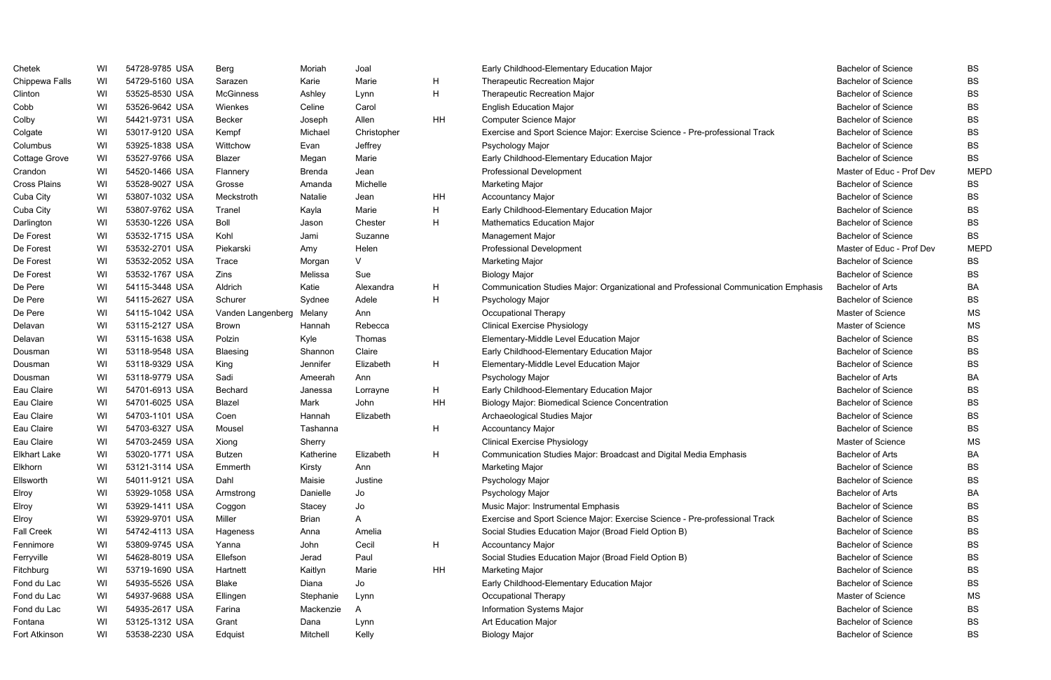| Chetek              | WI | 54728-9785 USA | Berg              | Moriah        | Joal        |    | Early Childhood-Elementary Education Major                                          | <b>Bachelor of Science</b> | BS          |
|---------------------|----|----------------|-------------------|---------------|-------------|----|-------------------------------------------------------------------------------------|----------------------------|-------------|
| Chippewa Falls      | WI | 54729-5160 USA | Sarazen           | Karie         | Marie       | H  | <b>Therapeutic Recreation Major</b>                                                 | <b>Bachelor of Science</b> | <b>BS</b>   |
| Clinton             | WI | 53525-8530 USA | <b>McGinness</b>  | Ashley        | Lynn        | H  | <b>Therapeutic Recreation Major</b>                                                 | <b>Bachelor of Science</b> | <b>BS</b>   |
| Cobb                | WI | 53526-9642 USA | Wienkes           | Celine        | Carol       |    | <b>English Education Major</b>                                                      | <b>Bachelor of Science</b> | <b>BS</b>   |
| Colby               | WI | 54421-9731 USA | Becker            | Joseph        | Allen       | HH | Computer Science Major                                                              | <b>Bachelor of Science</b> | <b>BS</b>   |
| Colgate             | WI | 53017-9120 USA | Kempf             | Michael       | Christopher |    | Exercise and Sport Science Major: Exercise Science - Pre-professional Track         | <b>Bachelor of Science</b> | <b>BS</b>   |
| Columbus            | WI | 53925-1838 USA | Wittchow          | Evan          | Jeffrey     |    | Psychology Major                                                                    | <b>Bachelor of Science</b> | <b>BS</b>   |
| Cottage Grove       | WI | 53527-9766 USA | Blazer            | Megan         | Marie       |    | Early Childhood-Elementary Education Major                                          | <b>Bachelor of Science</b> | <b>BS</b>   |
| Crandon             | WI | 54520-1466 USA | Flannery          | <b>Brenda</b> | Jean        |    | Professional Development                                                            | Master of Educ - Prof Dev  | <b>MEPD</b> |
| <b>Cross Plains</b> | WI | 53528-9027 USA | Grosse            | Amanda        | Michelle    |    | Marketing Major                                                                     | <b>Bachelor of Science</b> | BS          |
| Cuba City           | WI | 53807-1032 USA | Meckstroth        | Natalie       | Jean        | HH | <b>Accountancy Major</b>                                                            | <b>Bachelor of Science</b> | <b>BS</b>   |
| Cuba City           | WI | 53807-9762 USA | Tranel            | Kayla         | Marie       | H  | Early Childhood-Elementary Education Major                                          | <b>Bachelor of Science</b> | <b>BS</b>   |
| Darlington          | WI | 53530-1226 USA | Boll              | Jason         | Chester     | H  | <b>Mathematics Education Major</b>                                                  | <b>Bachelor of Science</b> | <b>BS</b>   |
| De Forest           | WI | 53532-1715 USA | Kohl              | Jami          | Suzanne     |    | <b>Management Major</b>                                                             | Bachelor of Science        | <b>BS</b>   |
| De Forest           | WI | 53532-2701 USA | Piekarski         | Amy           | Helen       |    | <b>Professional Development</b>                                                     | Master of Educ - Prof Dev  | <b>MEPD</b> |
| De Forest           | WI | 53532-2052 USA | <b>Trace</b>      | Morgan        | V           |    | Marketing Major                                                                     | <b>Bachelor of Science</b> | <b>BS</b>   |
| De Forest           | WI | 53532-1767 USA | Zins              | Melissa       | Sue         |    | <b>Biology Major</b>                                                                | <b>Bachelor of Science</b> | <b>BS</b>   |
| De Pere             | WI | 54115-3448 USA | Aldrich           | Katie         | Alexandra   | H  | Communication Studies Major: Organizational and Professional Communication Emphasis | <b>Bachelor of Arts</b>    | <b>BA</b>   |
| De Pere             | WI | 54115-2627 USA | Schurer           | Sydnee        | Adele       | H  | Psychology Major                                                                    | <b>Bachelor of Science</b> | <b>BS</b>   |
| De Pere             | WI | 54115-1042 USA | Vanden Langenberg | Melany        | Ann         |    | Occupational Therapy                                                                | Master of Science          | <b>MS</b>   |
| Delavan             | WI | 53115-2127 USA | <b>Brown</b>      | Hannah        | Rebecca     |    | <b>Clinical Exercise Physiology</b>                                                 | Master of Science          | <b>MS</b>   |
| Delavan             | WI | 53115-1638 USA | Polzin            | Kyle          | Thomas      |    | Elementary-Middle Level Education Major                                             | <b>Bachelor of Science</b> | <b>BS</b>   |
| Dousman             | WI | 53118-9548 USA | Blaesing          | Shannon       | Claire      |    | Early Childhood-Elementary Education Major                                          | <b>Bachelor of Science</b> | <b>BS</b>   |
| Dousman             | WI | 53118-9329 USA | King              | Jennifer      | Elizabeth   | H  | Elementary-Middle Level Education Major                                             | <b>Bachelor of Science</b> | <b>BS</b>   |
| Dousman             | WI | 53118-9779 USA | Sadi              | Ameerah       | Ann         |    | Psychology Major                                                                    | <b>Bachelor of Arts</b>    | <b>BA</b>   |
| Eau Claire          | WI | 54701-6913 USA | Bechard           | Janessa       | Lorrayne    | H  | Early Childhood-Elementary Education Major                                          | <b>Bachelor of Science</b> | <b>BS</b>   |
| Eau Claire          | WI | 54701-6025 USA | Blazel            | Mark          | John        | HH | <b>Biology Major: Biomedical Science Concentration</b>                              | <b>Bachelor of Science</b> | <b>BS</b>   |
| Eau Claire          | WI | 54703-1101 USA | Coen              | Hannah        | Elizabeth   |    | Archaeological Studies Major                                                        | <b>Bachelor of Science</b> | <b>BS</b>   |
| Eau Claire          | WI | 54703-6327 USA | Mousel            | Tashanna      |             | H  | <b>Accountancy Major</b>                                                            | <b>Bachelor of Science</b> | <b>BS</b>   |
| Eau Claire          | WI | 54703-2459 USA | Xiong             | Sherry        |             |    | <b>Clinical Exercise Physiology</b>                                                 | Master of Science          | <b>MS</b>   |
| <b>Elkhart Lake</b> | WI | 53020-1771 USA | Butzen            | Katherine     | Elizabeth   | H  | Communication Studies Major: Broadcast and Digital Media Emphasis                   | <b>Bachelor of Arts</b>    | BA          |
| Elkhorn             | WI | 53121-3114 USA | Emmerth           | Kirsty        | Ann         |    | Marketing Major                                                                     | <b>Bachelor of Science</b> | BS          |
| Ellsworth           | WI | 54011-9121 USA | Dahl              | Maisie        | Justine     |    | Psychology Major                                                                    | <b>Bachelor of Science</b> | <b>BS</b>   |
| Elroy               | WI | 53929-1058 USA | Armstrong         | Danielle      | Jo          |    | Psychology Major                                                                    | <b>Bachelor of Arts</b>    | BA          |
| Elroy               | WI | 53929-1411 USA | Coggon            | Stacey        | Jo          |    | Music Major: Instrumental Emphasis                                                  | <b>Bachelor of Science</b> | <b>BS</b>   |
| Elroy               | WI | 53929-9701 USA | Miller            | Brian         | A           |    | Exercise and Sport Science Major: Exercise Science - Pre-professional Track         | <b>Bachelor of Science</b> | <b>BS</b>   |
| <b>Fall Creek</b>   | WI | 54742-4113 USA | Hageness          | Anna          | Amelia      |    | Social Studies Education Major (Broad Field Option B)                               | <b>Bachelor of Science</b> | <b>BS</b>   |
| Fennimore           | WI | 53809-9745 USA | Yanna             | John          | Cecil       | H  | <b>Accountancy Major</b>                                                            | <b>Bachelor of Science</b> | <b>BS</b>   |
| Ferryville          | WI | 54628-8019 USA | Ellefson          | Jerad         | Paul        |    | Social Studies Education Major (Broad Field Option B)                               | <b>Bachelor of Science</b> | <b>BS</b>   |
| Fitchburg           | WI | 53719-1690 USA | Hartnett          | Kaitlyn       | Marie       | HH | Marketing Major                                                                     | <b>Bachelor of Science</b> | <b>BS</b>   |
| Fond du Lac         | WI | 54935-5526 USA | Blake             | Diana         | Jo          |    | Early Childhood-Elementary Education Major                                          | <b>Bachelor of Science</b> | <b>BS</b>   |
| Fond du Lac         | WI | 54937-9688 USA | Ellingen          | Stephanie     | Lynn        |    | Occupational Therapy                                                                | Master of Science          | MS          |
| Fond du Lac         | WI | 54935-2617 USA | Farina            | Mackenzie     | A           |    | Information Systems Major                                                           | <b>Bachelor of Science</b> | <b>BS</b>   |
| Fontana             | WI | 53125-1312 USA | Grant             | Dana          | Lynn        |    | Art Education Major                                                                 | <b>Bachelor of Science</b> | <b>BS</b>   |
| Fort Atkinson       | WI | 53538-2230 USA | Edquist           | Mitchell      | Kelly       |    | <b>Biology Major</b>                                                                | <b>Bachelor of Science</b> | BS          |

|        | <b>Bachelor of Science</b> | BS          |
|--------|----------------------------|-------------|
|        | <b>Bachelor of Science</b> | BS          |
|        | <b>Bachelor of Science</b> | BS          |
|        | <b>Bachelor of Science</b> | BS          |
|        | <b>Bachelor of Science</b> | BS          |
|        | <b>Bachelor of Science</b> | BS          |
|        | <b>Bachelor of Science</b> | BS          |
|        | <b>Bachelor of Science</b> | BS          |
|        | Master of Educ - Prof Dev  | <b>MEPD</b> |
|        | <b>Bachelor of Science</b> | BS          |
|        | <b>Bachelor of Science</b> | BS          |
|        | <b>Bachelor of Science</b> | BS          |
|        | <b>Bachelor of Science</b> | BS          |
|        | <b>Bachelor of Science</b> | BS          |
|        | Master of Educ - Prof Dev  | <b>MEPD</b> |
|        | <b>Bachelor of Science</b> | BS          |
|        | <b>Bachelor of Science</b> | BS          |
| งhasis | <b>Bachelor of Arts</b>    | BA          |
|        | <b>Bachelor of Science</b> | BS          |
|        | <b>Master of Science</b>   | ΜS          |
|        | <b>Master of Science</b>   | ΜS          |
|        | <b>Bachelor of Science</b> | BS          |
|        | <b>Bachelor of Science</b> | BS          |
|        | <b>Bachelor of Science</b> | BS          |
|        | <b>Bachelor of Arts</b>    | BA          |
|        | <b>Bachelor of Science</b> | BS          |
|        | <b>Bachelor of Science</b> | BS          |
|        | <b>Bachelor of Science</b> | BS          |
|        | <b>Bachelor of Science</b> | BS          |
|        | <b>Master of Science</b>   | ΜS          |
|        | <b>Bachelor of Arts</b>    | BA          |
|        | <b>Bachelor of Science</b> | BS          |
|        | <b>Bachelor of Science</b> | BS          |
|        | <b>Bachelor of Arts</b>    | BA          |
|        | <b>Bachelor of Science</b> | BS          |
|        | <b>Bachelor of Science</b> | BS          |
|        | <b>Bachelor of Science</b> | BS          |
|        | <b>Bachelor of Science</b> | BS          |
|        | <b>Bachelor of Science</b> | BS          |
|        | <b>Bachelor of Science</b> | BS          |
|        | <b>Bachelor of Science</b> | BS          |
|        | Master of Science          | ΜS          |
|        | <b>Bachelor of Science</b> | BS          |
|        | <b>Bachelor of Science</b> | BS          |
|        | <b>Bachelor of Science</b> | BS          |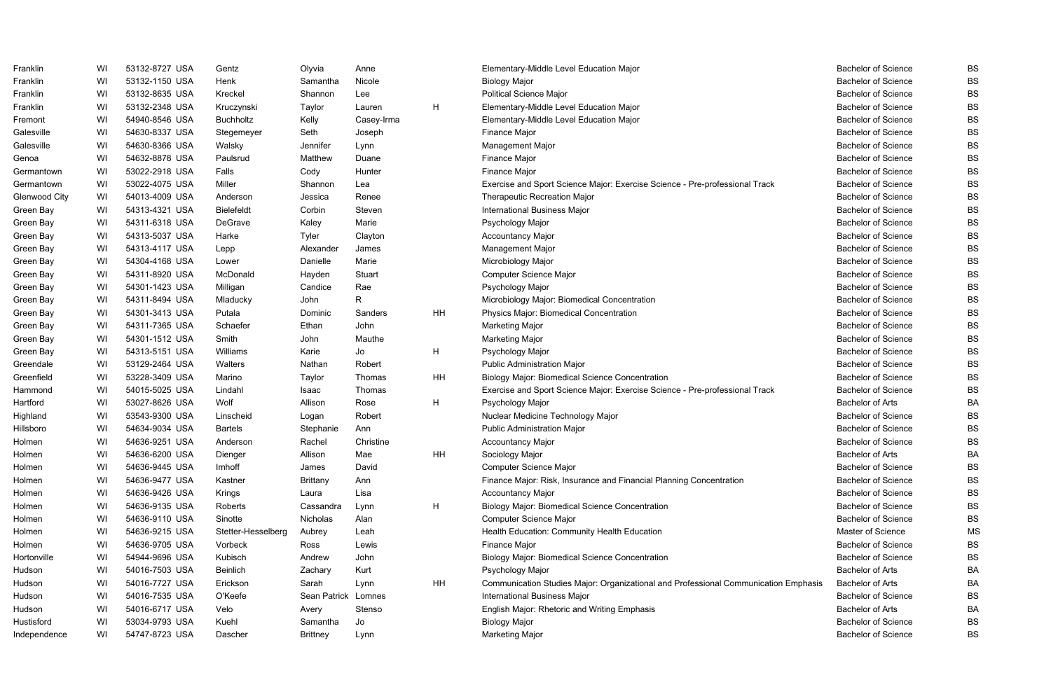| Franklin      | WI | 53132-8727 USA | Gentz              | Olyvia              | Anne         |    | Elementary-Middle Level Education Major                                             | <b>Bachelor of Science</b> | <b>BS</b> |
|---------------|----|----------------|--------------------|---------------------|--------------|----|-------------------------------------------------------------------------------------|----------------------------|-----------|
| Franklin      | WI | 53132-1150 USA | Henk               | Samantha            | Nicole       |    | <b>Biology Major</b>                                                                | <b>Bachelor of Science</b> | <b>BS</b> |
| Franklin      | WI | 53132-8635 USA | Kreckel            | Shannon             | Lee          |    | <b>Political Science Major</b>                                                      | <b>Bachelor of Science</b> | <b>BS</b> |
| Franklin      | WI | 53132-2348 USA | Kruczynski         | Taylor              | Lauren       | H  | Elementary-Middle Level Education Major                                             | <b>Bachelor of Science</b> | <b>BS</b> |
| Fremont       | WI | 54940-8546 USA | <b>Buchholtz</b>   | Kelly               | Casey-Irma   |    | Elementary-Middle Level Education Major                                             | <b>Bachelor of Science</b> | <b>BS</b> |
| Galesville    | WI | 54630-8337 USA | Stegemeyer         | Seth                | Joseph       |    | <b>Finance Major</b>                                                                | <b>Bachelor of Science</b> | <b>BS</b> |
| Galesville    | WI | 54630-8366 USA | Walsky             | Jennifer            | Lynn         |    | Management Major                                                                    | <b>Bachelor of Science</b> | <b>BS</b> |
| Genoa         | WI | 54632-8878 USA | Paulsrud           | Matthew             | Duane        |    | Finance Major                                                                       | <b>Bachelor of Science</b> | <b>BS</b> |
| Germantown    | WI | 53022-2918 USA | Falls              | Cody                | Hunter       |    | <b>Finance Major</b>                                                                | <b>Bachelor of Science</b> | <b>BS</b> |
| Germantown    | WI | 53022-4075 USA | Miller             | Shannon             | Lea          |    | Exercise and Sport Science Major: Exercise Science - Pre-professional Track         | <b>Bachelor of Science</b> | <b>BS</b> |
| Glenwood City | WI | 54013-4009 USA | Anderson           | Jessica             | Renee        |    | Therapeutic Recreation Major                                                        | <b>Bachelor of Science</b> | <b>BS</b> |
| Green Bay     | WI | 54313-4321 USA | <b>Bielefeldt</b>  | Corbin              | Steven       |    | International Business Major                                                        | <b>Bachelor of Science</b> | <b>BS</b> |
| Green Bay     | WI | 54311-6318 USA | DeGrave            | Kaley               | Marie        |    | Psychology Major                                                                    | <b>Bachelor of Science</b> | <b>BS</b> |
| Green Bay     | WI | 54313-5037 USA | Harke              | Tyler               | Clayton      |    | <b>Accountancy Major</b>                                                            | <b>Bachelor of Science</b> | <b>BS</b> |
| Green Bay     | WI | 54313-4117 USA | Lepp               | Alexander           | James        |    | Management Major                                                                    | <b>Bachelor of Science</b> | <b>BS</b> |
| Green Bay     | WI | 54304-4168 USA | Lower              | Danielle            | Marie        |    | Microbiology Major                                                                  | <b>Bachelor of Science</b> | <b>BS</b> |
| Green Bay     | WI | 54311-8920 USA | McDonald           | Hayden              | Stuart       |    | Computer Science Major                                                              | <b>Bachelor of Science</b> | <b>BS</b> |
| Green Bay     | WI | 54301-1423 USA | Milligan           | Candice             | Rae          |    | Psychology Major                                                                    | <b>Bachelor of Science</b> | <b>BS</b> |
| Green Bay     | WI | 54311-8494 USA | Mladucky           | John                | $\mathsf{R}$ |    | Microbiology Major: Biomedical Concentration                                        | <b>Bachelor of Science</b> | <b>BS</b> |
| Green Bay     | WI | 54301-3413 USA | Putala             | Dominic             | Sanders      | HH | Physics Major: Biomedical Concentration                                             | <b>Bachelor of Science</b> | <b>BS</b> |
| Green Bay     | WI | 54311-7365 USA | Schaefer           | Ethan               | John         |    | Marketing Major                                                                     | <b>Bachelor of Science</b> | <b>BS</b> |
| Green Bay     | WI | 54301-1512 USA | Smith              | John                | Mauthe       |    | <b>Marketing Major</b>                                                              | <b>Bachelor of Science</b> | <b>BS</b> |
| Green Bay     | WI | 54313-5151 USA | Williams           | Karie               | Jo           | H  | Psychology Major                                                                    | <b>Bachelor of Science</b> | <b>BS</b> |
| Greendale     | WI | 53129-2464 USA | Walters            | Nathan              | Robert       |    | Public Administration Major                                                         | <b>Bachelor of Science</b> | <b>BS</b> |
| Greenfield    | WI | 53228-3409 USA | Marino             | Taylor              | Thomas       | HH | <b>Biology Major: Biomedical Science Concentration</b>                              | <b>Bachelor of Science</b> | <b>BS</b> |
| Hammond       | WI | 54015-5025 USA | Lindahl            | Isaac               | Thomas       |    | Exercise and Sport Science Major: Exercise Science - Pre-professional Track         | <b>Bachelor of Science</b> | <b>BS</b> |
| Hartford      | WI | 53027-8626 USA | Wolf               | Allison             | Rose         | H  | Psychology Major                                                                    | <b>Bachelor of Arts</b>    | <b>BA</b> |
| Highland      | WI | 53543-9300 USA | Linscheid          | Logan               | Robert       |    | Nuclear Medicine Technology Major                                                   | <b>Bachelor of Science</b> | <b>BS</b> |
| Hillsboro     | WI | 54634-9034 USA | <b>Bartels</b>     | Stephanie           | Ann          |    | <b>Public Administration Major</b>                                                  | <b>Bachelor of Science</b> | <b>BS</b> |
| Holmen        | WI | 54636-9251 USA | Anderson           | Rachel              | Christine    |    | <b>Accountancy Major</b>                                                            | <b>Bachelor of Science</b> | <b>BS</b> |
| Holmen        | WI | 54636-6200 USA | Dienger            | Allison             | Mae          | HH | Sociology Major                                                                     | Bachelor of Arts           | BA        |
| Holmen        | WI | 54636-9445 USA | Imhoff             | James               | David        |    | Computer Science Major                                                              | <b>Bachelor of Science</b> | BS        |
| Holmen        | WI | 54636-9477 USA | Kastner            | <b>Brittany</b>     | Ann          |    | Finance Major: Risk, Insurance and Financial Planning Concentration                 | <b>Bachelor of Science</b> | <b>BS</b> |
| Holmen        | WI | 54636-9426 USA | Krings             | Laura               | Lisa         |    | <b>Accountancy Major</b>                                                            | <b>Bachelor of Science</b> | <b>BS</b> |
| Holmen        | WI | 54636-9135 USA | Roberts            | Cassandra           | Lynn         | H  | <b>Biology Major: Biomedical Science Concentration</b>                              | <b>Bachelor of Science</b> | <b>BS</b> |
| Holmen        | WI | 54636-9110 USA | Sinotte            | Nicholas            | Alan         |    | Computer Science Major                                                              | <b>Bachelor of Science</b> | <b>BS</b> |
| Holmen        | WI | 54636-9215 USA | Stetter-Hesselberg | Aubrey              | Leah         |    | Health Education: Community Health Education                                        | Master of Science          | <b>MS</b> |
| Holmen        | WI | 54636-9705 USA | Vorbeck            | Ross                | Lewis        |    | <b>Finance Major</b>                                                                | <b>Bachelor of Science</b> | <b>BS</b> |
| Hortonville   | WI | 54944-9696 USA | Kubisch            | Andrew              | John         |    | <b>Biology Major: Biomedical Science Concentration</b>                              | <b>Bachelor of Science</b> | <b>BS</b> |
| Hudson        | WI | 54016-7503 USA | Beinlich           | Zachary             | Kurt         |    | Psychology Major                                                                    | <b>Bachelor of Arts</b>    | BA        |
| Hudson        | WI | 54016-7727 USA | Erickson           | Sarah               | Lynn         | HH | Communication Studies Major: Organizational and Professional Communication Emphasis | <b>Bachelor of Arts</b>    | BA        |
| Hudson        | WI | 54016-7535 USA | O'Keefe            | Sean Patrick Lomnes |              |    | International Business Major                                                        | <b>Bachelor of Science</b> | <b>BS</b> |
| Hudson        | WI | 54016-6717 USA | Velo               | Avery               | Stenso       |    | English Major: Rhetoric and Writing Emphasis                                        | <b>Bachelor of Arts</b>    | <b>BA</b> |
| Hustisford    | WI | 53034-9793 USA | Kuehl              | Samantha            | Jo           |    | <b>Biology Major</b>                                                                | <b>Bachelor of Science</b> | <b>BS</b> |
| Independence  | WI | 54747-8723 USA | Dascher            | <b>Brittney</b>     | Lynn         |    | <b>Marketing Major</b>                                                              | <b>Bachelor of Science</b> | <b>BS</b> |

|       | <b>Bachelor of Science</b> | BS |
|-------|----------------------------|----|
|       | <b>Bachelor of Science</b> | BS |
|       | <b>Bachelor of Science</b> | BS |
|       | <b>Bachelor of Science</b> | BS |
|       | <b>Bachelor of Science</b> | BS |
|       | <b>Bachelor of Science</b> | BS |
|       | <b>Bachelor of Science</b> | BS |
|       | <b>Bachelor of Science</b> | BS |
|       | <b>Bachelor of Science</b> | BS |
|       | <b>Bachelor of Science</b> | BS |
|       | <b>Bachelor of Science</b> | BS |
|       | <b>Bachelor of Science</b> | BS |
|       | <b>Bachelor of Science</b> | BS |
|       | <b>Bachelor of Science</b> | BS |
|       | <b>Bachelor of Science</b> | BS |
|       | <b>Bachelor of Science</b> | BS |
|       | <b>Bachelor of Science</b> | BS |
|       | <b>Bachelor of Science</b> | BS |
|       | <b>Bachelor of Science</b> | BS |
|       | <b>Bachelor of Science</b> | BS |
|       | <b>Bachelor of Science</b> | BS |
|       | <b>Bachelor of Science</b> | BS |
|       | <b>Bachelor of Science</b> | BS |
|       | Bachelor of Science        | BS |
|       | <b>Bachelor of Science</b> | BS |
|       | <b>Bachelor of Science</b> | BS |
|       | <b>Bachelor of Arts</b>    | BA |
|       | Bachelor of Science        | BS |
|       | <b>Bachelor of Science</b> | BS |
|       | <b>Bachelor of Science</b> | BS |
|       | <b>Bachelor of Arts</b>    | BА |
|       | <b>Bachelor of Science</b> | BS |
|       | <b>Bachelor of Science</b> | BS |
|       | <b>Bachelor of Science</b> | BS |
|       | <b>Bachelor of Science</b> | BS |
|       | Bachelor of Science        | BS |
|       | <b>Master of Science</b>   | ΜS |
|       | <b>Bachelor of Science</b> | BS |
|       | Bachelor of Science        | BS |
|       | <b>Bachelor of Arts</b>    | BА |
| hasis | <b>Bachelor of Arts</b>    | BА |
|       | <b>Bachelor of Science</b> | BS |
|       | <b>Bachelor of Arts</b>    | ВA |
|       | <b>Bachelor of Science</b> | BS |
|       | <b>Bachelor of Science</b> | BS |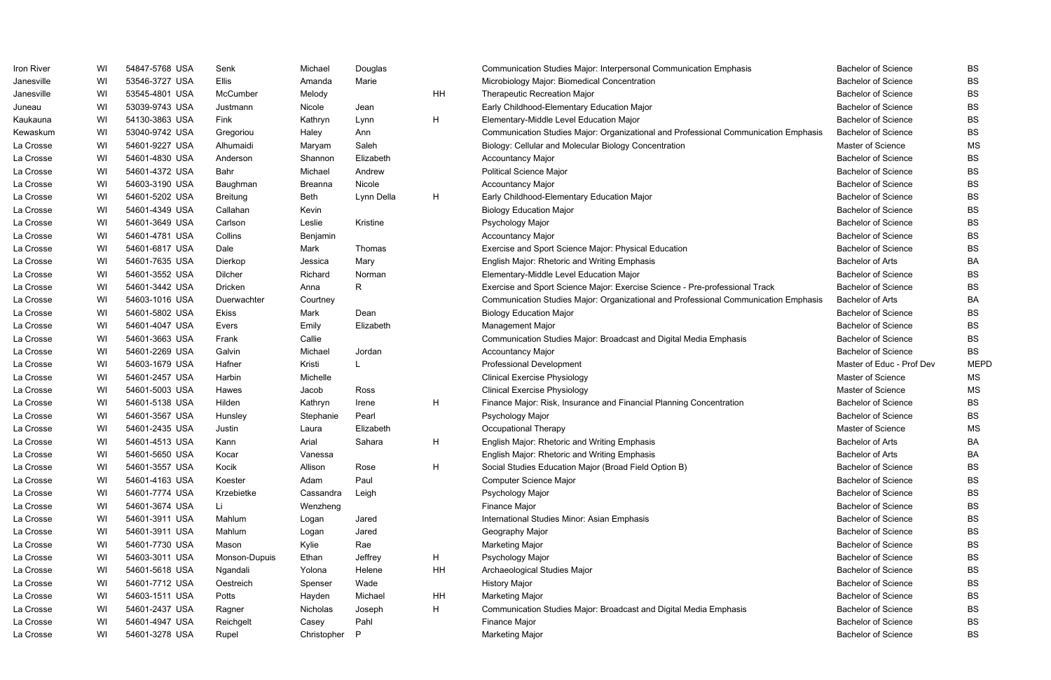| Iron River | WI | 54847-5768 USA | Senk            | Michael        | Douglas      |    | Communication Studies Major: Interpersonal Communication Emphasis                   | <b>Bachelor of Science</b> | BS          |
|------------|----|----------------|-----------------|----------------|--------------|----|-------------------------------------------------------------------------------------|----------------------------|-------------|
| Janesville | WI | 53546-3727 USA | <b>Ellis</b>    | Amanda         | Marie        |    | Microbiology Major: Biomedical Concentration                                        | <b>Bachelor of Science</b> | <b>BS</b>   |
| Janesville | WI | 53545-4801 USA | McCumber        | Melody         |              | HH | <b>Therapeutic Recreation Major</b>                                                 | <b>Bachelor of Science</b> | <b>BS</b>   |
| Juneau     | WI | 53039-9743 USA | Justmann        | Nicole         | Jean         |    | Early Childhood-Elementary Education Major                                          | <b>Bachelor of Science</b> | <b>BS</b>   |
| Kaukauna   | WI | 54130-3863 USA | Fink            | Kathryn        | Lynn         | H  | Elementary-Middle Level Education Major                                             | <b>Bachelor of Science</b> | <b>BS</b>   |
| Kewaskum   | WI | 53040-9742 USA | Gregoriou       | Haley          | Ann          |    | Communication Studies Major: Organizational and Professional Communication Emphasis | <b>Bachelor of Science</b> | <b>BS</b>   |
| La Crosse  | WI | 54601-9227 USA | Alhumaidi       | Maryam         | Saleh        |    | Biology: Cellular and Molecular Biology Concentration                               | Master of Science          | <b>MS</b>   |
| La Crosse  | WI | 54601-4830 USA | Anderson        | Shannon        | Elizabeth    |    | <b>Accountancy Major</b>                                                            | <b>Bachelor of Science</b> | <b>BS</b>   |
| La Crosse  | WI | 54601-4372 USA | Bahr            | Michael        | Andrew       |    | <b>Political Science Major</b>                                                      | <b>Bachelor of Science</b> | <b>BS</b>   |
| La Crosse  | WI | 54603-3190 USA | Baughman        | <b>Breanna</b> | Nicole       |    | <b>Accountancy Major</b>                                                            | <b>Bachelor of Science</b> | BS          |
| La Crosse  | WI | 54601-5202 USA | <b>Breitung</b> | Beth           | Lynn Della   | H  | Early Childhood-Elementary Education Major                                          | <b>Bachelor of Science</b> | <b>BS</b>   |
| La Crosse  | WI | 54601-4349 USA | Callahan        | Kevin          |              |    | <b>Biology Education Major</b>                                                      | <b>Bachelor of Science</b> | <b>BS</b>   |
| La Crosse  | WI | 54601-3649 USA | Carlson         | Leslie         | Kristine     |    | Psychology Major                                                                    | <b>Bachelor of Science</b> | <b>BS</b>   |
| La Crosse  | WI | 54601-4781 USA | Collins         | Benjamin       |              |    | <b>Accountancy Major</b>                                                            | <b>Bachelor of Science</b> | BS          |
| La Crosse  | WI | 54601-6817 USA | Dale            | Mark           | Thomas       |    | Exercise and Sport Science Major: Physical Education                                | <b>Bachelor of Science</b> | <b>BS</b>   |
| La Crosse  | WI | 54601-7635 USA | Dierkop         | Jessica        | Mary         |    | English Major: Rhetoric and Writing Emphasis                                        | <b>Bachelor of Arts</b>    | <b>BA</b>   |
| La Crosse  | WI | 54601-3552 USA | Dilcher         | Richard        | Norman       |    | Elementary-Middle Level Education Major                                             | <b>Bachelor of Science</b> | <b>BS</b>   |
| La Crosse  | WI | 54601-3442 USA | Dricken         | Anna           | R            |    | Exercise and Sport Science Major: Exercise Science - Pre-professional Track         | <b>Bachelor of Science</b> | <b>BS</b>   |
| La Crosse  | WI | 54603-1016 USA | Duerwachter     | Courtney       |              |    | Communication Studies Major: Organizational and Professional Communication Emphasis | <b>Bachelor of Arts</b>    | <b>BA</b>   |
| La Crosse  | WI | 54601-5802 USA | <b>Ekiss</b>    | Mark           | Dean         |    | <b>Biology Education Major</b>                                                      | <b>Bachelor of Science</b> | <b>BS</b>   |
| La Crosse  | WI | 54601-4047 USA | Evers           | Emily          | Elizabeth    |    | Management Major                                                                    | <b>Bachelor of Science</b> | <b>BS</b>   |
| La Crosse  | WI | 54601-3663 USA | Frank           | Callie         |              |    | Communication Studies Major: Broadcast and Digital Media Emphasis                   | Bachelor of Science        | <b>BS</b>   |
| La Crosse  | WI | 54601-2269 USA | Galvin          | Michael        | Jordan       |    | <b>Accountancy Major</b>                                                            | <b>Bachelor of Science</b> | <b>BS</b>   |
| La Crosse  | WI | 54603-1679 USA | Hafner          | Kristi         |              |    | <b>Professional Development</b>                                                     | Master of Educ - Prof Dev  | <b>MEPD</b> |
| La Crosse  | WI | 54601-2457 USA | Harbin          | Michelle       |              |    | <b>Clinical Exercise Physiology</b>                                                 | Master of Science          | MS          |
| La Crosse  | WI | 54601-5003 USA | Hawes           | Jacob          | Ross         |    | <b>Clinical Exercise Physiology</b>                                                 | Master of Science          | MS          |
| La Crosse  | WI | 54601-5138 USA | Hilden          | Kathryn        | Irene        | H  | Finance Major: Risk, Insurance and Financial Planning Concentration                 | <b>Bachelor of Science</b> | <b>BS</b>   |
| La Crosse  | WI | 54601-3567 USA | Hunsley         | Stephanie      | Pearl        |    | Psychology Major                                                                    | <b>Bachelor of Science</b> | <b>BS</b>   |
| La Crosse  | WI | 54601-2435 USA | Justin          | Laura          | Elizabeth    |    | <b>Occupational Therapy</b>                                                         | Master of Science          | MS          |
| La Crosse  | WI | 54601-4513 USA | Kann            | Arial          | Sahara       | H  | <b>English Major: Rhetoric and Writing Emphasis</b>                                 | <b>Bachelor of Arts</b>    | BA          |
| La Crosse  | WI | 54601-5650 USA | Kocar           | Vanessa        |              |    | English Major: Rhetoric and Writing Emphasis                                        | <b>Bachelor of Arts</b>    | BA          |
| La Crosse  | WI | 54601-3557 USA | Kocik           | Allison        | Rose         | H  | Social Studies Education Major (Broad Field Option B)                               | <b>Bachelor of Science</b> | <b>BS</b>   |
| La Crosse  | WI | 54601-4163 USA | Koester         | Adam           | Paul         |    | Computer Science Major                                                              | <b>Bachelor of Science</b> | <b>BS</b>   |
| La Crosse  | WI | 54601-7774 USA | Krzebietke      | Cassandra      | Leigh        |    | Psychology Major                                                                    | <b>Bachelor of Science</b> | <b>BS</b>   |
| La Crosse  | WI | 54601-3674 USA | Li.             | Wenzheng       |              |    | Finance Major                                                                       | <b>Bachelor of Science</b> | <b>BS</b>   |
| La Crosse  | WI | 54601-3911 USA | Mahlum          | Logan          | Jared        |    | International Studies Minor: Asian Emphasis                                         | <b>Bachelor of Science</b> | <b>BS</b>   |
| La Crosse  | WI | 54601-3911 USA | Mahlum          | Logan          | Jared        |    | Geography Major                                                                     | <b>Bachelor of Science</b> | <b>BS</b>   |
| La Crosse  | WI | 54601-7730 USA | Mason           | Kylie          | Rae          |    | Marketing Major                                                                     | <b>Bachelor of Science</b> | <b>BS</b>   |
| La Crosse  | WI | 54603-3011 USA | Monson-Dupuis   | Ethan          | Jeffrey      | H  | Psychology Major                                                                    | <b>Bachelor of Science</b> | <b>BS</b>   |
| La Crosse  | WI | 54601-5618 USA | Ngandali        | Yolona         | Helene       | HH | Archaeological Studies Major                                                        | <b>Bachelor of Science</b> | <b>BS</b>   |
| La Crosse  | WI | 54601-7712 USA | Oestreich       | Spenser        | Wade         |    | <b>History Major</b>                                                                | <b>Bachelor of Science</b> | <b>BS</b>   |
| La Crosse  | WI | 54603-1511 USA | Potts           | Hayden         | Michael      | HH | Marketing Major                                                                     | <b>Bachelor of Science</b> | <b>BS</b>   |
| La Crosse  | WI | 54601-2437 USA | Ragner          | Nicholas       | Joseph       | H  | Communication Studies Major: Broadcast and Digital Media Emphasis                   | <b>Bachelor of Science</b> | <b>BS</b>   |
| La Crosse  | WI | 54601-4947 USA | Reichgelt       | Casey          | Pahl         |    | Finance Major                                                                       | Bachelor of Science        | <b>BS</b>   |
| La Crosse  | WI | 54601-3278 USA | Rupel           | Christopher    | $\mathsf{P}$ |    | Marketing Major                                                                     | <b>Bachelor of Science</b> | <b>BS</b>   |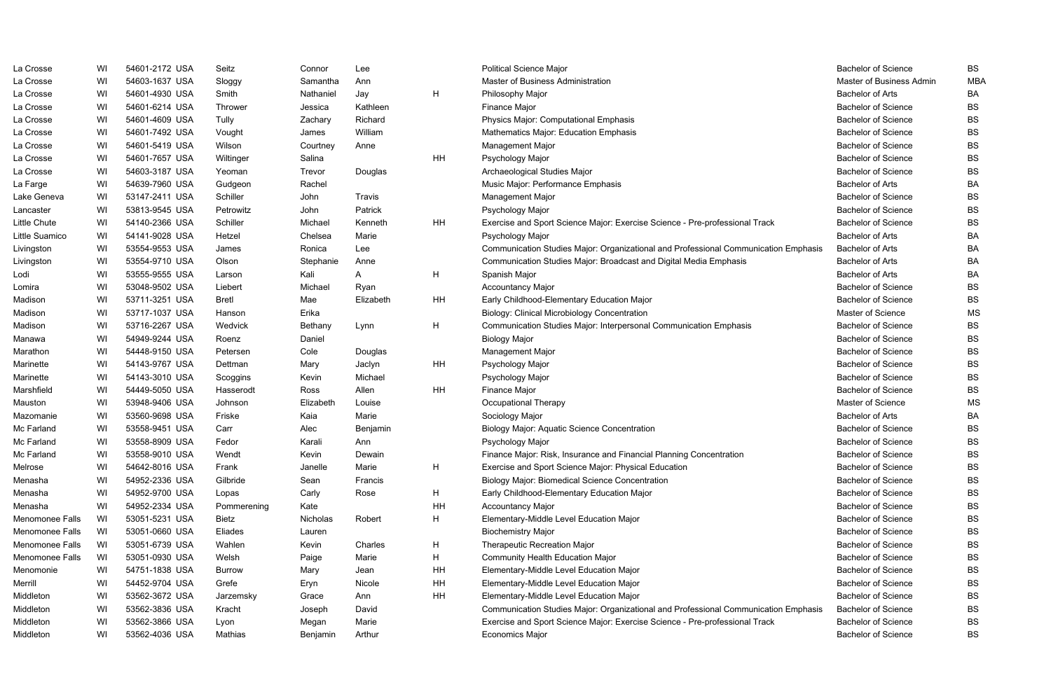| La Crosse       | WI | 54601-2172 USA | Seitz         | Connor    | Lee           |    | <b>Political Science Major</b>                                                      | <b>Bachelor of Science</b> | <b>BS</b>  |
|-----------------|----|----------------|---------------|-----------|---------------|----|-------------------------------------------------------------------------------------|----------------------------|------------|
| La Crosse       | WI | 54603-1637 USA | Sloggy        | Samantha  | Ann           |    | Master of Business Administration                                                   | Master of Business Admin   | <b>MBA</b> |
| La Crosse       | WI | 54601-4930 USA | Smith         | Nathaniel | Jay           | H  | Philosophy Major                                                                    | <b>Bachelor of Arts</b>    | BA         |
| La Crosse       | WI | 54601-6214 USA | Thrower       | Jessica   | Kathleen      |    | Finance Major                                                                       | <b>Bachelor of Science</b> | <b>BS</b>  |
| La Crosse       | WI | 54601-4609 USA | Tully         | Zachary   | Richard       |    | Physics Major: Computational Emphasis                                               | <b>Bachelor of Science</b> | <b>BS</b>  |
| La Crosse       | WI | 54601-7492 USA | Vought        | James     | William       |    | Mathematics Major: Education Emphasis                                               | <b>Bachelor of Science</b> | <b>BS</b>  |
| La Crosse       | WI | 54601-5419 USA | Wilson        | Courtney  | Anne          |    | Management Major                                                                    | <b>Bachelor of Science</b> | <b>BS</b>  |
| La Crosse       | WI | 54601-7657 USA | Wiltinger     | Salina    |               | HH | Psychology Major                                                                    | <b>Bachelor of Science</b> | <b>BS</b>  |
| La Crosse       | WI | 54603-3187 USA | Yeoman        | Trevor    | Douglas       |    | Archaeological Studies Major                                                        | <b>Bachelor of Science</b> | <b>BS</b>  |
| La Farge        | WI | 54639-7960 USA | Gudgeon       | Rachel    |               |    | Music Major: Performance Emphasis                                                   | <b>Bachelor of Arts</b>    | <b>BA</b>  |
| Lake Geneva     | WI | 53147-2411 USA | Schiller      | John      | <b>Travis</b> |    | Management Major                                                                    | <b>Bachelor of Science</b> | <b>BS</b>  |
| Lancaster       | WI | 53813-9545 USA | Petrowitz     | John      | Patrick       |    | Psychology Major                                                                    | <b>Bachelor of Science</b> | <b>BS</b>  |
| Little Chute    | WI | 54140-2366 USA | Schiller      | Michael   | Kenneth       | HH | Exercise and Sport Science Major: Exercise Science - Pre-professional Track         | <b>Bachelor of Science</b> | <b>BS</b>  |
| Little Suamico  | WI | 54141-9028 USA | Hetzel        | Chelsea   | Marie         |    | Psychology Major                                                                    | <b>Bachelor of Arts</b>    | <b>BA</b>  |
| Livingston      | WI | 53554-9553 USA | James         | Ronica    | Lee           |    | Communication Studies Major: Organizational and Professional Communication Emphasis | <b>Bachelor of Arts</b>    | <b>BA</b>  |
| Livingston      | WI | 53554-9710 USA | Olson         | Stephanie | Anne          |    | Communication Studies Major: Broadcast and Digital Media Emphasis                   | <b>Bachelor of Arts</b>    | <b>BA</b>  |
| Lodi            | WI | 53555-9555 USA | Larson        | Kali      | A             | H  | Spanish Major                                                                       | <b>Bachelor of Arts</b>    | BA         |
| Lomira          | WI | 53048-9502 USA | Liebert       | Michael   | Ryan          |    | <b>Accountancy Major</b>                                                            | <b>Bachelor of Science</b> | <b>BS</b>  |
| Madison         | WI | 53711-3251 USA | Bretl         | Mae       | Elizabeth     | HH | Early Childhood-Elementary Education Major                                          | <b>Bachelor of Science</b> | <b>BS</b>  |
| Madison         | WI | 53717-1037 USA | Hanson        | Erika     |               |    | <b>Biology: Clinical Microbiology Concentration</b>                                 | Master of Science          | <b>MS</b>  |
| Madison         | WI | 53716-2267 USA | Wedvick       | Bethany   | Lynn          | H  | Communication Studies Major: Interpersonal Communication Emphasis                   | <b>Bachelor of Science</b> | <b>BS</b>  |
| Manawa          | WI | 54949-9244 USA | Roenz         | Daniel    |               |    | <b>Biology Major</b>                                                                | <b>Bachelor of Science</b> | <b>BS</b>  |
| Marathon        | WI | 54448-9150 USA | Petersen      | Cole      | Douglas       |    | Management Major                                                                    | <b>Bachelor of Science</b> | <b>BS</b>  |
| Marinette       | WI | 54143-9767 USA | Dettman       | Mary      | Jaclyn        | HH | Psychology Major                                                                    | <b>Bachelor of Science</b> | <b>BS</b>  |
| Marinette       | WI | 54143-3010 USA | Scoggins      | Kevin     | Michael       |    | Psychology Major                                                                    | <b>Bachelor of Science</b> | <b>BS</b>  |
| Marshfield      | WI | 54449-5050 USA | Hasserodt     | Ross      | Allen         | HH | Finance Major                                                                       | <b>Bachelor of Science</b> | <b>BS</b>  |
| Mauston         | WI | 53948-9406 USA | Johnson       | Elizabeth | Louise        |    | Occupational Therapy                                                                | Master of Science          | MS         |
| Mazomanie       | WI | 53560-9698 USA | Friske        | Kaia      | Marie         |    | Sociology Major                                                                     | <b>Bachelor of Arts</b>    | <b>BA</b>  |
| Mc Farland      | WI | 53558-9451 USA | Carr          | Alec      | Benjamin      |    | <b>Biology Major: Aquatic Science Concentration</b>                                 | <b>Bachelor of Science</b> | <b>BS</b>  |
| Mc Farland      | WI | 53558-8909 USA | Fedor         | Karali    | Ann           |    | Psychology Major                                                                    | <b>Bachelor of Science</b> | <b>BS</b>  |
| Mc Farland      | WI | 53558-9010 USA | Wendt         | Kevin     | Dewain        |    | Finance Major: Risk, Insurance and Financial Planning Concentration                 | <b>Bachelor of Science</b> | BS         |
| Melrose         | WI | 54642-8016 USA | Frank         | Janelle   | Marie         | H  | Exercise and Sport Science Major: Physical Education                                | <b>Bachelor of Science</b> | <b>BS</b>  |
| Menasha         | WI | 54952-2336 USA | Gilbride      | Sean      | Francis       |    | <b>Biology Major: Biomedical Science Concentration</b>                              | <b>Bachelor of Science</b> | <b>BS</b>  |
| Menasha         | WI | 54952-9700 USA | Lopas         | Carly     | Rose          | H  | Early Childhood-Elementary Education Major                                          | <b>Bachelor of Science</b> | <b>BS</b>  |
| Menasha         | WI | 54952-2334 USA | Pommerening   | Kate      |               | HH | <b>Accountancy Major</b>                                                            | <b>Bachelor of Science</b> | <b>BS</b>  |
| Menomonee Falls | WI | 53051-5231 USA | <b>Bietz</b>  | Nicholas  | Robert        | H  | Elementary-Middle Level Education Major                                             | <b>Bachelor of Science</b> | <b>BS</b>  |
| Menomonee Falls | WI | 53051-0660 USA | Eliades       | Lauren    |               |    | <b>Biochemistry Major</b>                                                           | <b>Bachelor of Science</b> | <b>BS</b>  |
| Menomonee Falls | WI | 53051-6739 USA | Wahlen        | Kevin     | Charles       | H  | Therapeutic Recreation Major                                                        | <b>Bachelor of Science</b> | <b>BS</b>  |
| Menomonee Falls | WI | 53051-0930 USA | Welsh         | Paige     | Marie         | H  | <b>Community Health Education Major</b>                                             | <b>Bachelor of Science</b> | <b>BS</b>  |
| Menomonie       | WI | 54751-1838 USA | <b>Burrow</b> | Mary      | Jean          | HH | Elementary-Middle Level Education Major                                             | <b>Bachelor of Science</b> | <b>BS</b>  |
| Merrill         | WI | 54452-9704 USA | Grefe         | Eryn      | Nicole        | HH | Elementary-Middle Level Education Major                                             | <b>Bachelor of Science</b> | <b>BS</b>  |
| Middleton       | WI | 53562-3672 USA | Jarzemsky     | Grace     | Ann           | HH | Elementary-Middle Level Education Major                                             | <b>Bachelor of Science</b> | <b>BS</b>  |
| Middleton       | WI | 53562-3836 USA | Kracht        | Joseph    | David         |    | Communication Studies Major: Organizational and Professional Communication Emphasis | <b>Bachelor of Science</b> | <b>BS</b>  |
| Middleton       | WI | 53562-3866 USA | Lyon          | Megan     | Marie         |    | Exercise and Sport Science Major: Exercise Science - Pre-professional Track         | <b>Bachelor of Science</b> | <b>BS</b>  |
| Middleton       | WI | 53562-4036 USA | Mathias       | Benjamin  | Arthur        |    | <b>Economics Major</b>                                                              | <b>Bachelor of Science</b> | <b>BS</b>  |

|        | <b>Bachelor of Science</b> | BS        |
|--------|----------------------------|-----------|
|        | Master of Business Admin   | MBA       |
|        | Bachelor of Arts           | BА        |
|        | <b>Bachelor of Science</b> | BS        |
|        | <b>Bachelor of Science</b> | BS        |
|        | <b>Bachelor of Science</b> | BS        |
|        | <b>Bachelor of Science</b> | BS        |
|        | <b>Bachelor of Science</b> | BS        |
|        | <b>Bachelor of Science</b> | BS        |
|        | Bachelor of Arts           | ВA        |
|        | <b>Bachelor of Science</b> | BS        |
|        | <b>Bachelor of Science</b> | BS        |
|        | <b>Bachelor of Science</b> | BS        |
|        | Bachelor of Arts           | BА        |
| phasis | Bachelor of Arts           | ВA        |
|        | Bachelor of Arts           | BA        |
|        | Bachelor of Arts           | BA        |
|        | <b>Bachelor of Science</b> | <b>BS</b> |
|        | <b>Bachelor of Science</b> | BS        |
|        | <b>Master of Science</b>   | ΜS        |
|        | <b>Bachelor of Science</b> | BS        |
|        | <b>Bachelor of Science</b> | <b>BS</b> |
|        | <b>Bachelor of Science</b> | BS        |
|        | <b>Bachelor of Science</b> | BS        |
|        | <b>Bachelor of Science</b> | BS        |
|        | <b>Bachelor of Science</b> | BS        |
|        | Master of Science          | ΜS        |
|        | <b>Bachelor of Arts</b>    | BA        |
|        | <b>Bachelor of Science</b> | BS        |
|        | <b>Bachelor of Science</b> | BS        |
|        | <b>Bachelor of Science</b> | BS        |
|        | <b>Bachelor of Science</b> | BS        |
|        | <b>Bachelor of Science</b> | BS        |
|        | <b>Bachelor of Science</b> | BS        |
|        | <b>Bachelor of Science</b> | BS        |
|        | <b>Bachelor of Science</b> | BS        |
|        | <b>Bachelor of Science</b> | BS        |
|        | <b>Bachelor of Science</b> | BS        |
|        | <b>Bachelor of Science</b> | BS        |
|        | <b>Bachelor of Science</b> | BS        |
|        | <b>Bachelor of Science</b> | BS        |
|        | <b>Bachelor of Science</b> | BS        |
| bhasis | <b>Bachelor of Science</b> | BS        |
|        | <b>Bachelor of Science</b> | BS        |
|        | <b>Bachelor of Science</b> | BS        |

- 
-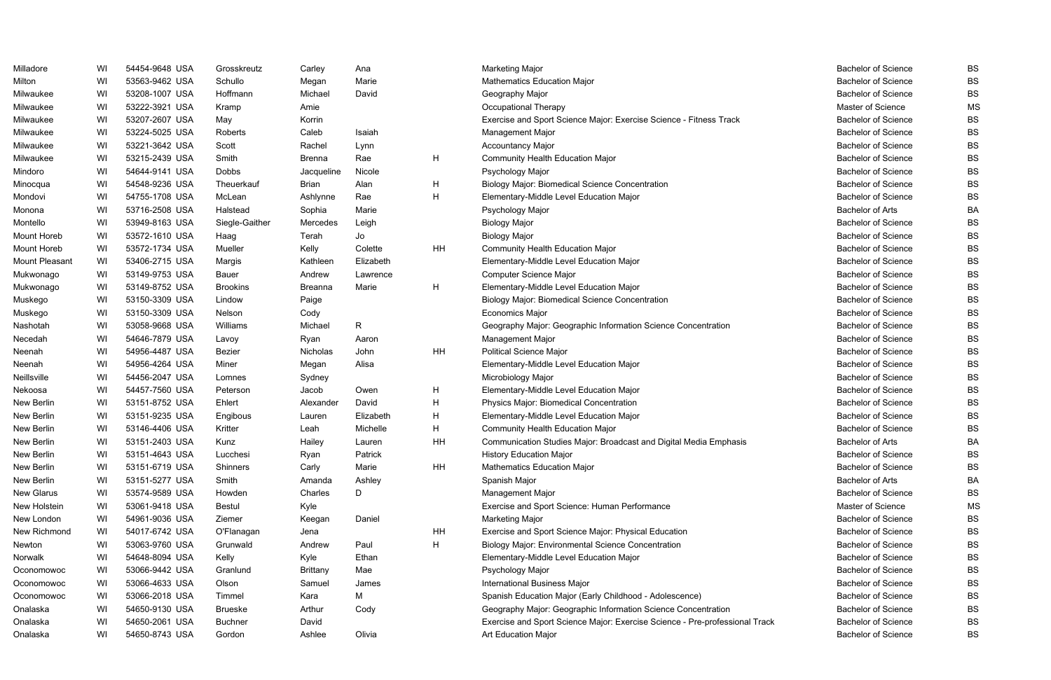| Milladore      | WI | 54454-9648 USA | Grosskreutz     | Carley          | Ana          |           | <b>Marketing Major</b>                                                      | <b>Bachelor of Science</b> | <b>BS</b> |
|----------------|----|----------------|-----------------|-----------------|--------------|-----------|-----------------------------------------------------------------------------|----------------------------|-----------|
| Milton         | WI | 53563-9462 USA | Schullo         | Megan           | Marie        |           | <b>Mathematics Education Major</b>                                          | <b>Bachelor of Science</b> | <b>BS</b> |
| Milwaukee      | WI | 53208-1007 USA | Hoffmann        | Michael         | David        |           | Geography Major                                                             | <b>Bachelor of Science</b> | <b>BS</b> |
| Milwaukee      | WI | 53222-3921 USA | Kramp           | Amie            |              |           | Occupational Therapy                                                        | Master of Science          | <b>MS</b> |
| Milwaukee      | WI | 53207-2607 USA | May             | Korrin          |              |           | Exercise and Sport Science Major: Exercise Science - Fitness Track          | <b>Bachelor of Science</b> | <b>BS</b> |
| Milwaukee      | WI | 53224-5025 USA | Roberts         | Caleb           | Isaiah       |           | <b>Management Major</b>                                                     | <b>Bachelor of Science</b> | <b>BS</b> |
| Milwaukee      | WI | 53221-3642 USA | Scott           | Rachel          | Lynn         |           | <b>Accountancy Major</b>                                                    | <b>Bachelor of Science</b> | <b>BS</b> |
| Milwaukee      | WI | 53215-2439 USA | Smith           | <b>Brenna</b>   | Rae          | H         | Community Health Education Major                                            | <b>Bachelor of Science</b> | <b>BS</b> |
| Mindoro        | WI | 54644-9141 USA | Dobbs           | Jacqueline      | Nicole       |           | Psychology Major                                                            | <b>Bachelor of Science</b> | <b>BS</b> |
| Minocqua       | WI | 54548-9236 USA | Theuerkauf      | Brian           | Alan         | H         | <b>Biology Major: Biomedical Science Concentration</b>                      | <b>Bachelor of Science</b> | <b>BS</b> |
| Mondovi        | WI | 54755-1708 USA | McLean          | Ashlynne        | Rae          | H         | Elementary-Middle Level Education Major                                     | <b>Bachelor of Science</b> | <b>BS</b> |
| Monona         | WI | 53716-2508 USA | Halstead        | Sophia          | Marie        |           | Psychology Major                                                            | <b>Bachelor of Arts</b>    | BA        |
| Montello       | WI | 53949-8163 USA | Siegle-Gaither  | Mercedes        | Leigh        |           | <b>Biology Major</b>                                                        | <b>Bachelor of Science</b> | <b>BS</b> |
| Mount Horeb    | WI | 53572-1610 USA | Haag            | Terah           | Jo           |           | <b>Biology Major</b>                                                        | <b>Bachelor of Science</b> | <b>BS</b> |
| Mount Horeb    | WI | 53572-1734 USA | Mueller         | Kelly           | Colette      | <b>HH</b> | Community Health Education Major                                            | <b>Bachelor of Science</b> | <b>BS</b> |
| Mount Pleasant | WI | 53406-2715 USA | Margis          | Kathleen        | Elizabeth    |           | Elementary-Middle Level Education Major                                     | <b>Bachelor of Science</b> | <b>BS</b> |
| Mukwonago      | WI | 53149-9753 USA | <b>Bauer</b>    | Andrew          | Lawrence     |           | Computer Science Major                                                      | <b>Bachelor of Science</b> | <b>BS</b> |
| Mukwonago      | WI | 53149-8752 USA | <b>Brookins</b> | <b>Breanna</b>  | Marie        | H         | Elementary-Middle Level Education Major                                     | <b>Bachelor of Science</b> | <b>BS</b> |
| Muskego        | WI | 53150-3309 USA | Lindow          | Paige           |              |           | <b>Biology Major: Biomedical Science Concentration</b>                      | <b>Bachelor of Science</b> | <b>BS</b> |
| Muskego        | WI | 53150-3309 USA | Nelson          | Cody            |              |           | <b>Economics Major</b>                                                      | <b>Bachelor of Science</b> | <b>BS</b> |
| Nashotah       | WI | 53058-9668 USA | Williams        | Michael         | $\mathsf{R}$ |           | Geography Major: Geographic Information Science Concentration               | <b>Bachelor of Science</b> | <b>BS</b> |
| Necedah        | WI | 54646-7879 USA | Lavoy           | Ryan            | Aaron        |           | Management Major                                                            | <b>Bachelor of Science</b> | <b>BS</b> |
| Neenah         | WI | 54956-4487 USA | Bezier          | Nicholas        | John         | HH        | <b>Political Science Major</b>                                              | <b>Bachelor of Science</b> | <b>BS</b> |
| Neenah         | WI | 54956-4264 USA | Miner           | Megan           | Alisa        |           | Elementary-Middle Level Education Major                                     | <b>Bachelor of Science</b> | <b>BS</b> |
| Neillsville    | WI | 54456-2047 USA | Lomnes          | Sydney          |              |           | Microbiology Major                                                          | <b>Bachelor of Science</b> | <b>BS</b> |
| Nekoosa        | WI | 54457-7560 USA | Peterson        | Jacob           | Owen         | H         | Elementary-Middle Level Education Major                                     | <b>Bachelor of Science</b> | <b>BS</b> |
| New Berlin     | WI | 53151-8752 USA | Ehlert          | Alexander       | David        | H         | Physics Major: Biomedical Concentration                                     | <b>Bachelor of Science</b> | <b>BS</b> |
| New Berlin     | WI | 53151-9235 USA | Engibous        | Lauren          | Elizabeth    | H         | Elementary-Middle Level Education Major                                     | <b>Bachelor of Science</b> | <b>BS</b> |
| New Berlin     | WI | 53146-4406 USA | Kritter         | Leah            | Michelle     | H         | Community Health Education Major                                            | <b>Bachelor of Science</b> | <b>BS</b> |
| New Berlin     | WI | 53151-2403 USA | Kunz            | Hailey          | Lauren       | HН        | Communication Studies Major: Broadcast and Digital Media Emphasis           | Bachelor of Arts           | BA        |
| New Berlin     | WI | 53151-4643 USA | Lucchesi        | Ryan            | Patrick      |           | <b>History Education Major</b>                                              | <b>Bachelor of Science</b> | BS        |
| New Berlin     | WI | 53151-6719 USA | Shinners        | Carly           | Marie        | HH        | <b>Mathematics Education Major</b>                                          | <b>Bachelor of Science</b> | <b>BS</b> |
| New Berlin     | WI | 53151-5277 USA | Smith           | Amanda          | Ashley       |           | Spanish Major                                                               | <b>Bachelor of Arts</b>    | <b>BA</b> |
| New Glarus     | WI | 53574-9589 USA | Howden          | Charles         | D            |           | <b>Management Major</b>                                                     | <b>Bachelor of Science</b> | <b>BS</b> |
| New Holstein   | WI | 53061-9418 USA | Bestul          | Kyle            |              |           | Exercise and Sport Science: Human Performance                               | Master of Science          | <b>MS</b> |
| New London     | WI | 54961-9036 USA | Ziemer          | Keegan          | Daniel       |           | Marketing Major                                                             | <b>Bachelor of Science</b> | <b>BS</b> |
| New Richmond   | WI | 54017-6742 USA | O'Flanagan      | Jena            |              | HH        | Exercise and Sport Science Major: Physical Education                        | <b>Bachelor of Science</b> | <b>BS</b> |
| Newton         | WI | 53063-9760 USA | Grunwald        | Andrew          | Paul         | H         | <b>Biology Major: Environmental Science Concentration</b>                   | <b>Bachelor of Science</b> | <b>BS</b> |
| Norwalk        | WI | 54648-8094 USA | Kelly           | Kyle            | Ethan        |           | Elementary-Middle Level Education Major                                     | <b>Bachelor of Science</b> | <b>BS</b> |
| Oconomowoc     | WI | 53066-9442 USA | Granlund        | <b>Brittany</b> | Mae          |           | Psychology Major                                                            | <b>Bachelor of Science</b> | <b>BS</b> |
| Oconomowoc     | WI | 53066-4633 USA | Olson           | Samuel          | James        |           | <b>International Business Major</b>                                         | <b>Bachelor of Science</b> | <b>BS</b> |
| Oconomowoc     | WI | 53066-2018 USA | Timmel          | Kara            | М            |           | Spanish Education Major (Early Childhood - Adolescence)                     | <b>Bachelor of Science</b> | <b>BS</b> |
| Onalaska       | WI | 54650-9130 USA | <b>Brueske</b>  | Arthur          | Cody         |           | Geography Major: Geographic Information Science Concentration               | <b>Bachelor of Science</b> | <b>BS</b> |
| Onalaska       | WI | 54650-2061 USA | <b>Buchner</b>  | David           |              |           | Exercise and Sport Science Major: Exercise Science - Pre-professional Track | <b>Bachelor of Science</b> | <b>BS</b> |
| Onalaska       | WI | 54650-8743 USA | Gordon          | Ashlee          | Olivia       |           | Art Education Major                                                         | <b>Bachelor of Science</b> | <b>BS</b> |

| <b>Bachelor of Science</b> | BS |
|----------------------------|----|
| <b>Bachelor of Science</b> | BS |
| <b>Bachelor of Science</b> | BS |
| <b>Master of Science</b>   | ΜS |
| <b>Bachelor of Science</b> | BS |
| <b>Bachelor of Science</b> | BS |
| <b>Bachelor of Science</b> | BS |
| <b>Bachelor of Science</b> | BS |
| <b>Bachelor of Science</b> | BS |
| <b>Bachelor of Science</b> | BS |
| <b>Bachelor of Science</b> | BS |
| <b>Bachelor of Arts</b>    | ΒA |
| <b>Bachelor of Science</b> | BS |
| <b>Bachelor of Science</b> | BS |
| <b>Bachelor of Science</b> | BS |
| <b>Bachelor of Science</b> | BS |
| <b>Bachelor of Science</b> | BS |
| <b>Bachelor of Science</b> | BS |
| <b>Bachelor of Science</b> | BS |
| <b>Bachelor of Science</b> | BS |
| <b>Bachelor of Science</b> | BS |
| <b>Bachelor of Science</b> | BS |
| <b>Bachelor of Science</b> | BS |
| <b>Bachelor of Science</b> | BS |
| <b>Bachelor of Science</b> | BS |
| <b>Bachelor of Science</b> | BS |
| <b>Bachelor of Science</b> | BS |
| <b>Bachelor of Science</b> | BS |
| <b>Bachelor of Science</b> | BS |
| <b>Bachelor of Arts</b>    | ΒA |
| <b>Bachelor of Science</b> | BS |
| <b>Bachelor of Science</b> | BS |
| <b>Bachelor of Arts</b>    | ВA |
| <b>Bachelor of Science</b> | BS |
| <b>Master of Science</b>   | ΜS |
| <b>Bachelor of Science</b> | BS |
| <b>Bachelor of Science</b> | BS |
| <b>Bachelor of Science</b> | BS |
| <b>Bachelor of Science</b> | BS |
| <b>Bachelor of Science</b> | BS |
| <b>Bachelor of Science</b> | BS |
| <b>Bachelor of Science</b> | BS |
| <b>Bachelor of Science</b> | BS |
| <b>Bachelor of Science</b> | BS |
| <b>Bachelor of Science</b> | BS |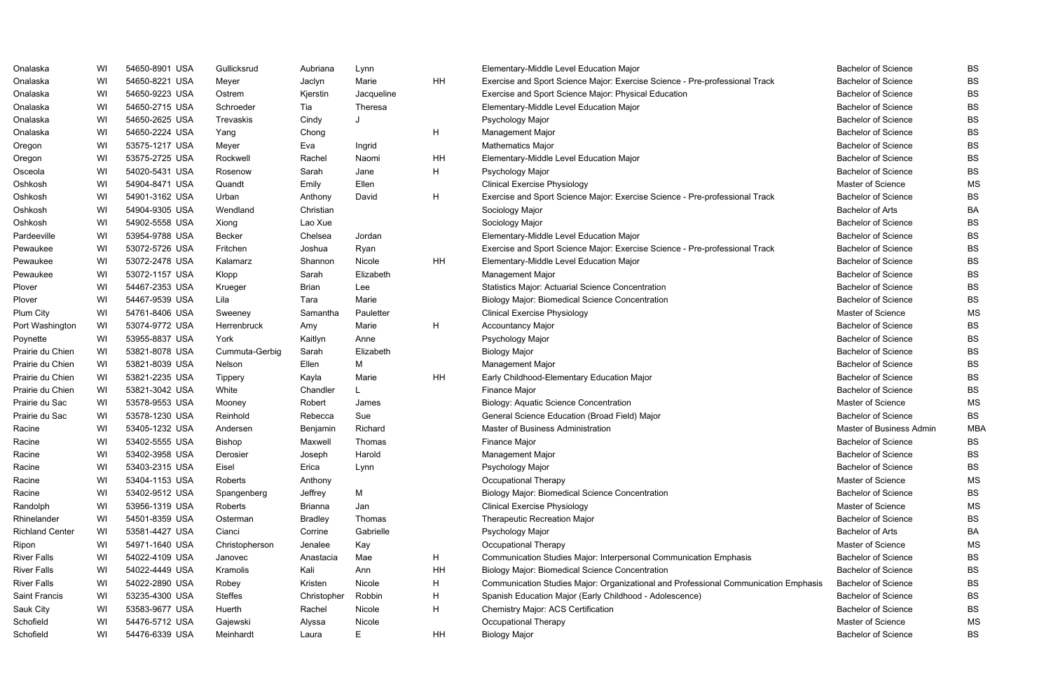| Onalaska               | WI | 54650-8901 USA | Gullicksrud    | Aubriana       | Lynn       |    | Elementary-Middle Level Education Major                                             | <b>Bachelor of Science</b> | <b>BS</b>  |
|------------------------|----|----------------|----------------|----------------|------------|----|-------------------------------------------------------------------------------------|----------------------------|------------|
| Onalaska               | WI | 54650-8221 USA | Meyer          | Jaclyn         | Marie      | HH | Exercise and Sport Science Major: Exercise Science - Pre-professional Track         | <b>Bachelor of Science</b> | <b>BS</b>  |
| Onalaska               | WI | 54650-9223 USA | Ostrem         | Kjerstin       | Jacqueline |    | Exercise and Sport Science Major: Physical Education                                | <b>Bachelor of Science</b> | <b>BS</b>  |
| Onalaska               | WI | 54650-2715 USA | Schroeder      | Tia            | Theresa    |    | Elementary-Middle Level Education Major                                             | <b>Bachelor of Science</b> | <b>BS</b>  |
| Onalaska               | WI | 54650-2625 USA | Trevaskis      | Cindy          |            |    | Psychology Major                                                                    | <b>Bachelor of Science</b> | <b>BS</b>  |
| Onalaska               | WI | 54650-2224 USA | Yang           | Chong          |            | H  | Management Major                                                                    | <b>Bachelor of Science</b> | <b>BS</b>  |
| Oregon                 | WI | 53575-1217 USA | Meyer          | Eva            | Ingrid     |    | <b>Mathematics Major</b>                                                            | <b>Bachelor of Science</b> | <b>BS</b>  |
| Oregon                 | WI | 53575-2725 USA | Rockwell       | Rachel         | Naomi      | HH | Elementary-Middle Level Education Major                                             | <b>Bachelor of Science</b> | <b>BS</b>  |
| Osceola                | WI | 54020-5431 USA | Rosenow        | Sarah          | Jane       | H  | Psychology Major                                                                    | <b>Bachelor of Science</b> | <b>BS</b>  |
| Oshkosh                | WI | 54904-8471 USA | Quandt         | Emily          | Ellen      |    | <b>Clinical Exercise Physiology</b>                                                 | Master of Science          | MS         |
| Oshkosh                | WI | 54901-3162 USA | Urban          | Anthony        | David      | H  | Exercise and Sport Science Major: Exercise Science - Pre-professional Track         | <b>Bachelor of Science</b> | <b>BS</b>  |
| Oshkosh                | WI | 54904-9305 USA | Wendland       | Christian      |            |    | Sociology Major                                                                     | <b>Bachelor of Arts</b>    | <b>BA</b>  |
| Oshkosh                | WI | 54902-5558 USA | Xiong          | Lao Xue        |            |    | Sociology Major                                                                     | <b>Bachelor of Science</b> | <b>BS</b>  |
| Pardeeville            | WI | 53954-9788 USA | <b>Becker</b>  | Chelsea        | Jordan     |    | Elementary-Middle Level Education Major                                             | <b>Bachelor of Science</b> | <b>BS</b>  |
| Pewaukee               | WI | 53072-5726 USA | Fritchen       | Joshua         | Ryan       |    | Exercise and Sport Science Major: Exercise Science - Pre-professional Track         | <b>Bachelor of Science</b> | <b>BS</b>  |
| Pewaukee               | WI | 53072-2478 USA | Kalamarz       | Shannon        | Nicole     | HH | Elementary-Middle Level Education Major                                             | <b>Bachelor of Science</b> | <b>BS</b>  |
| Pewaukee               | WI | 53072-1157 USA | Klopp          | Sarah          | Elizabeth  |    | Management Major                                                                    | <b>Bachelor of Science</b> | <b>BS</b>  |
| Plover                 | WI | 54467-2353 USA | Krueger        | <b>Brian</b>   | Lee        |    | <b>Statistics Major: Actuarial Science Concentration</b>                            | <b>Bachelor of Science</b> | <b>BS</b>  |
| Plover                 | WI | 54467-9539 USA | Lila           | Tara           | Marie      |    | <b>Biology Major: Biomedical Science Concentration</b>                              | <b>Bachelor of Science</b> | <b>BS</b>  |
| Plum City              | WI | 54761-8406 USA | Sweeney        | Samantha       | Pauletter  |    | <b>Clinical Exercise Physiology</b>                                                 | Master of Science          | MS         |
| Port Washington        | WI | 53074-9772 USA | Herrenbruck    | Amy            | Marie      | H  | <b>Accountancy Major</b>                                                            | <b>Bachelor of Science</b> | <b>BS</b>  |
| Poynette               | WI | 53955-8837 USA | York           | Kaitlyn        | Anne       |    | Psychology Major                                                                    | <b>Bachelor of Science</b> | <b>BS</b>  |
| Prairie du Chien       | WI | 53821-8078 USA | Cummuta-Gerbig | Sarah          | Elizabeth  |    | <b>Biology Major</b>                                                                | <b>Bachelor of Science</b> | <b>BS</b>  |
| Prairie du Chien       | WI | 53821-8039 USA | Nelson         | Ellen          | Μ          |    | Management Major                                                                    | <b>Bachelor of Science</b> | <b>BS</b>  |
| Prairie du Chien       | WI | 53821-2235 USA | Tippery        | Kayla          | Marie      | HH | Early Childhood-Elementary Education Major                                          | <b>Bachelor of Science</b> | <b>BS</b>  |
| Prairie du Chien       | WI | 53821-3042 USA | White          | Chandler       |            |    | Finance Major                                                                       | <b>Bachelor of Science</b> | <b>BS</b>  |
| Prairie du Sac         | WI | 53578-9553 USA | Mooney         | Robert         | James      |    | <b>Biology: Aquatic Science Concentration</b>                                       | Master of Science          | MS         |
| Prairie du Sac         | WI | 53578-1230 USA | Reinhold       | Rebecca        | Sue        |    | General Science Education (Broad Field) Major                                       | <b>Bachelor of Science</b> | <b>BS</b>  |
| Racine                 | WI | 53405-1232 USA | Andersen       | Benjamin       | Richard    |    | Master of Business Administration                                                   | Master of Business Admin   | <b>MBA</b> |
| Racine                 | WI | 53402-5555 USA | <b>Bishop</b>  | Maxwell        | Thomas     |    | <b>Finance Major</b>                                                                | <b>Bachelor of Science</b> | BS         |
| Racine                 | WI | 53402-3958 USA | Derosier       | Joseph         | Harold     |    | Management Major                                                                    | <b>Bachelor of Science</b> | BS         |
| Racine                 | WI | 53403-2315 USA | Eisel          | Erica          | Lynn       |    | Psychology Major                                                                    | <b>Bachelor of Science</b> | BS         |
| Racine                 | WI | 53404-1153 USA | Roberts        | Anthony        |            |    | Occupational Therapy                                                                | Master of Science          | MS         |
| Racine                 | WI | 53402-9512 USA | Spangenberg    | Jeffrey        | M          |    | <b>Biology Major: Biomedical Science Concentration</b>                              | <b>Bachelor of Science</b> | BS         |
| Randolph               | WI | 53956-1319 USA | Roberts        | <b>Brianna</b> | Jan        |    | <b>Clinical Exercise Physiology</b>                                                 | Master of Science          | <b>MS</b>  |
| Rhinelander            | WI | 54501-8359 USA | Osterman       | <b>Bradley</b> | Thomas     |    | <b>Therapeutic Recreation Major</b>                                                 | <b>Bachelor of Science</b> | BS         |
| <b>Richland Center</b> | WI | 53581-4427 USA | Cianci         | Corrine        | Gabrielle  |    | Psychology Major                                                                    | <b>Bachelor of Arts</b>    | BA         |
| Ripon                  | WI | 54971-1640 USA | Christopherson | Jenalee        | Kay        |    | Occupational Therapy                                                                | Master of Science          | MS         |
| <b>River Falls</b>     | WI | 54022-4109 USA | Janovec        | Anastacia      | Mae        | H  | Communication Studies Major: Interpersonal Communication Emphasis                   | <b>Bachelor of Science</b> | <b>BS</b>  |
| <b>River Falls</b>     | WI | 54022-4449 USA | Kramolis       | Kali           | Ann        | HH | <b>Biology Major: Biomedical Science Concentration</b>                              | <b>Bachelor of Science</b> | <b>BS</b>  |
| <b>River Falls</b>     | WI | 54022-2890 USA | Robey          | Kristen        | Nicole     | H  | Communication Studies Major: Organizational and Professional Communication Emphasis | <b>Bachelor of Science</b> | <b>BS</b>  |
| Saint Francis          | WI | 53235-4300 USA | <b>Steffes</b> | Christopher    | Robbin     | H  | Spanish Education Major (Early Childhood - Adolescence)                             | <b>Bachelor of Science</b> | BS         |
| Sauk City              | WI | 53583-9677 USA | Huerth         | Rachel         | Nicole     | H  | Chemistry Major: ACS Certification                                                  | <b>Bachelor of Science</b> | <b>BS</b>  |
| Schofield              | WI | 54476-5712 USA | Gajewski       | Alyssa         | Nicole     |    | Occupational Therapy                                                                | Master of Science          | MS         |
| Schofield              | WI | 54476-6339 USA | Meinhardt      | Laura          | E          | HH | <b>Biology Major</b>                                                                | <b>Bachelor of Science</b> | <b>BS</b>  |

|      | <b>Bachelor of Science</b> | BS        |
|------|----------------------------|-----------|
|      | <b>Bachelor of Science</b> | BS        |
|      | <b>Bachelor of Science</b> | BS        |
|      | <b>Bachelor of Science</b> | BS        |
|      | <b>Bachelor of Science</b> | BS        |
|      | <b>Bachelor of Science</b> | BS        |
|      | <b>Bachelor of Science</b> | BS        |
|      | <b>Bachelor of Science</b> | BS        |
|      | <b>Bachelor of Science</b> | BS        |
|      | Master of Science          | ΜS        |
|      | <b>Bachelor of Science</b> | BS        |
|      | <b>Bachelor of Arts</b>    | BA        |
|      | <b>Bachelor of Science</b> | BS        |
|      | <b>Bachelor of Science</b> | BS        |
|      | <b>Bachelor of Science</b> | <b>BS</b> |
|      | <b>Bachelor of Science</b> | BS        |
|      | <b>Bachelor of Science</b> | BS        |
|      | <b>Bachelor of Science</b> | BS        |
|      | <b>Bachelor of Science</b> | BS        |
|      | Master of Science          | ΜS        |
|      | Bachelor of Science        | BS        |
|      | <b>Bachelor of Science</b> | BS        |
|      | Bachelor of Science        | BS        |
|      | Bachelor of Science        | BS        |
|      | Bachelor of Science        | BS        |
|      | <b>Bachelor of Science</b> | BS        |
|      | Master of Science          | ΜS        |
|      | Bachelor of Science        | BS        |
|      | Master of Business Admin   | MBA       |
|      | <b>Bachelor of Science</b> | BS        |
|      | <b>Bachelor of Science</b> | BS        |
|      | Bachelor of Science        | BS        |
|      | Master of Science          | ΜS        |
|      | <b>Bachelor of Science</b> | BS        |
|      | Master of Science          | ΜS        |
|      | <b>Bachelor of Science</b> | BS        |
|      | <b>Bachelor of Arts</b>    | BA        |
|      | Master of Science          | ΜS        |
|      | Bachelor of Science        | BS        |
|      | <b>Bachelor of Science</b> | BS        |
| asis | <b>Bachelor of Science</b> | BS        |
|      | <b>Bachelor of Science</b> | BS        |
|      | <b>Bachelor of Science</b> | BS        |
|      | Master of Science          | ΜS        |
|      | <b>Bachelor of Science</b> | BS        |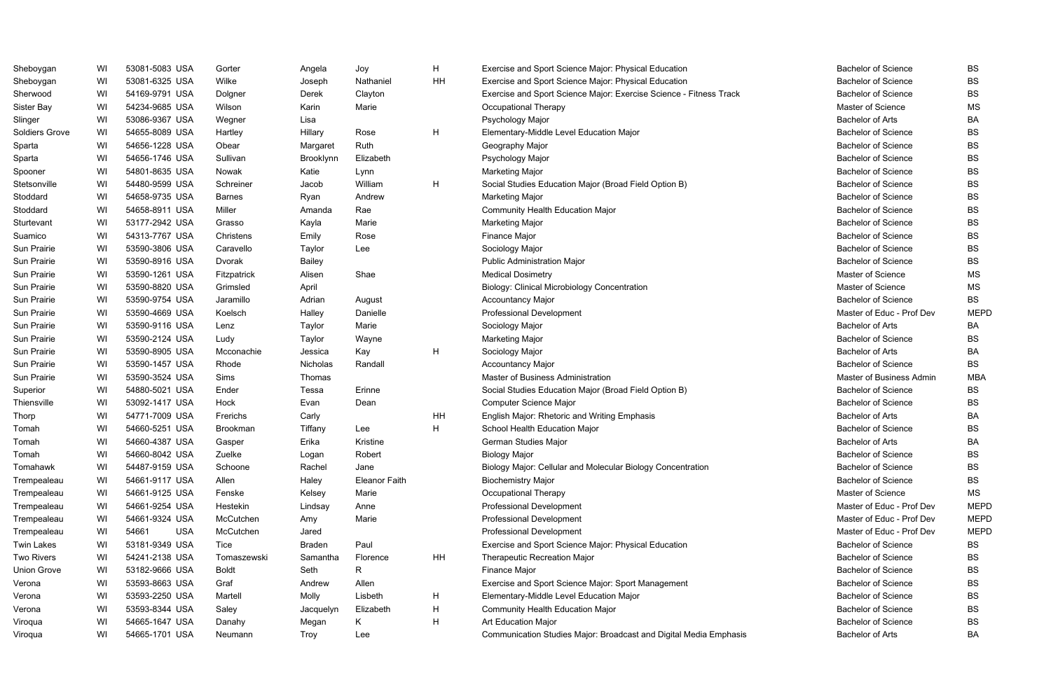| Sheboygan          | WI | 53081-5083 USA      | Gorter        | Angela        | Joy                  | H  | Exercise and Sport Science Major: Physical Education               | <b>Bachelor of Science</b> | BS          |
|--------------------|----|---------------------|---------------|---------------|----------------------|----|--------------------------------------------------------------------|----------------------------|-------------|
| Sheboygan          | WI | 53081-6325 USA      | Wilke         | Joseph        | Nathaniel            | HH | Exercise and Sport Science Major: Physical Education               | <b>Bachelor of Science</b> | <b>BS</b>   |
| Sherwood           | WI | 54169-9791 USA      | Dolgner       | Derek         | Clayton              |    | Exercise and Sport Science Major: Exercise Science - Fitness Track | <b>Bachelor of Science</b> | <b>BS</b>   |
| Sister Bay         | WI | 54234-9685 USA      | Wilson        | Karin         | Marie                |    | Occupational Therapy                                               | Master of Science          | <b>MS</b>   |
| Slinger            | WI | 53086-9367 USA      | Wegner        | Lisa          |                      |    | Psychology Major                                                   | <b>Bachelor of Arts</b>    | BA          |
| Soldiers Grove     | WI | 54655-8089 USA      | Hartley       | Hillary       | Rose                 | H  | Elementary-Middle Level Education Major                            | <b>Bachelor of Science</b> | <b>BS</b>   |
| Sparta             | WI | 54656-1228 USA      | Obear         | Margaret      | Ruth                 |    | Geography Major                                                    | <b>Bachelor of Science</b> | <b>BS</b>   |
| Sparta             | WI | 54656-1746 USA      | Sullivan      | Brooklynn     | Elizabeth            |    | Psychology Major                                                   | <b>Bachelor of Science</b> | <b>BS</b>   |
| Spooner            | WI | 54801-8635 USA      | Nowak         | Katie         | Lynn                 |    | <b>Marketing Major</b>                                             | <b>Bachelor of Science</b> | <b>BS</b>   |
| Stetsonville       | WI | 54480-9599 USA      | Schreiner     | Jacob         | William              | H  | Social Studies Education Major (Broad Field Option B)              | <b>Bachelor of Science</b> | <b>BS</b>   |
| Stoddard           | WI | 54658-9735 USA      | <b>Barnes</b> | Ryan          | Andrew               |    | <b>Marketing Major</b>                                             | <b>Bachelor of Science</b> | <b>BS</b>   |
| Stoddard           | WI | 54658-8911 USA      | Miller        | Amanda        | Rae                  |    | <b>Community Health Education Major</b>                            | <b>Bachelor of Science</b> | <b>BS</b>   |
| Sturtevant         | WI | 53177-2942 USA      | Grasso        | Kayla         | Marie                |    | Marketing Major                                                    | <b>Bachelor of Science</b> | <b>BS</b>   |
| Suamico            | WI | 54313-7767 USA      | Christens     | Emily         | Rose                 |    | Finance Major                                                      | <b>Bachelor of Science</b> | <b>BS</b>   |
| Sun Prairie        | WI | 53590-3806 USA      | Caravello     | Taylor        | Lee                  |    | Sociology Major                                                    | <b>Bachelor of Science</b> | <b>BS</b>   |
| Sun Prairie        | WI | 53590-8916 USA      | Dvorak        | <b>Bailey</b> |                      |    | <b>Public Administration Major</b>                                 | <b>Bachelor of Science</b> | <b>BS</b>   |
| Sun Prairie        | WI | 53590-1261 USA      | Fitzpatrick   | Alisen        | Shae                 |    | <b>Medical Dosimetry</b>                                           | Master of Science          | <b>MS</b>   |
| Sun Prairie        | WI | 53590-8820 USA      | Grimsled      | April         |                      |    | <b>Biology: Clinical Microbiology Concentration</b>                | Master of Science          | <b>MS</b>   |
| Sun Prairie        | WI | 53590-9754 USA      | Jaramillo     | Adrian        | August               |    | <b>Accountancy Major</b>                                           | <b>Bachelor of Science</b> | <b>BS</b>   |
| Sun Prairie        | WI | 53590-4669 USA      | Koelsch       | Halley        | Danielle             |    | Professional Development                                           | Master of Educ - Prof Dev  | <b>MEPD</b> |
| Sun Prairie        | WI | 53590-9116 USA      | Lenz          | Taylor        | Marie                |    | Sociology Major                                                    | <b>Bachelor of Arts</b>    | BA          |
| Sun Prairie        | WI | 53590-2124 USA      | Ludy          | Taylor        | Wayne                |    | <b>Marketing Major</b>                                             | Bachelor of Science        | <b>BS</b>   |
| Sun Prairie        | WI | 53590-8905 USA      | Mcconachie    | Jessica       | Kay                  | H  | Sociology Major                                                    | <b>Bachelor of Arts</b>    | BA          |
| Sun Prairie        | WI | 53590-1457 USA      | Rhode         | Nicholas      | Randall              |    | <b>Accountancy Major</b>                                           | <b>Bachelor of Science</b> | <b>BS</b>   |
| Sun Prairie        | WI | 53590-3524 USA      | Sims          | Thomas        |                      |    | Master of Business Administration                                  | Master of Business Admin   | <b>MBA</b>  |
| Superior           | WI | 54880-5021 USA      | Ender         | Tessa         | Erinne               |    | Social Studies Education Major (Broad Field Option B)              | <b>Bachelor of Science</b> | <b>BS</b>   |
| Thiensville        | WI | 53092-1417 USA      | Hock          | Evan          | Dean                 |    | Computer Science Major                                             | <b>Bachelor of Science</b> | <b>BS</b>   |
| Thorp              | WI | 54771-7009 USA      | Frerichs      | Carly         |                      | HH | English Major: Rhetoric and Writing Emphasis                       | <b>Bachelor of Arts</b>    | BA          |
| Tomah              | WI | 54660-5251 USA      | Brookman      | Tiffany       | Lee                  | H  | School Health Education Major                                      | <b>Bachelor of Science</b> | <b>BS</b>   |
| Tomah              | WI | 54660-4387 USA      | Gasper        | Erika         | Kristine             |    | <b>German Studies Major</b>                                        | <b>Bachelor of Arts</b>    | BA          |
| Tomah              | WI | 54660-8042 USA      | Zuelke        | Logan         | Robert               |    | <b>Biology Major</b>                                               | <b>Bachelor of Science</b> | BS          |
| Tomahawk           | WI | 54487-9159 USA      | Schoone       | Rachel        | Jane                 |    | Biology Major: Cellular and Molecular Biology Concentration        | <b>Bachelor of Science</b> | <b>BS</b>   |
| Trempealeau        | WI | 54661-9117 USA      | Allen         | Haley         | <b>Eleanor Faith</b> |    | <b>Biochemistry Major</b>                                          | <b>Bachelor of Science</b> | <b>BS</b>   |
| Trempealeau        | WI | 54661-9125 USA      | Fenske        | Kelsey        | Marie                |    | Occupational Therapy                                               | Master of Science          | MS          |
| Trempealeau        | WI | 54661-9254 USA      | Hestekin      | Lindsay       | Anne                 |    | <b>Professional Development</b>                                    | Master of Educ - Prof Dev  | <b>MEPD</b> |
| Trempealeau        | WI | 54661-9324 USA      | McCutchen     | Amy           | Marie                |    | Professional Development                                           | Master of Educ - Prof Dev  | <b>MEPD</b> |
| Trempealeau        | WI | 54661<br><b>USA</b> | McCutchen     | Jared         |                      |    | <b>Professional Development</b>                                    | Master of Educ - Prof Dev  | <b>MEPD</b> |
| <b>Twin Lakes</b>  | WI | 53181-9349 USA      | Tice          | <b>Braden</b> | Paul                 |    | Exercise and Sport Science Major: Physical Education               | <b>Bachelor of Science</b> | <b>BS</b>   |
| <b>Two Rivers</b>  | WI | 54241-2138 USA      | Tomaszewski   | Samantha      | Florence             | HH | Therapeutic Recreation Major                                       | <b>Bachelor of Science</b> | <b>BS</b>   |
| <b>Union Grove</b> | WI | 53182-9666 USA      | Boldt         | Seth          | R                    |    | Finance Major                                                      | <b>Bachelor of Science</b> | <b>BS</b>   |
| Verona             | WI | 53593-8663 USA      | Graf          | Andrew        | Allen                |    | Exercise and Sport Science Major: Sport Management                 | <b>Bachelor of Science</b> | <b>BS</b>   |
| Verona             | WI | 53593-2250 USA      | Martell       | Molly         | Lisbeth              | H  | Elementary-Middle Level Education Major                            | <b>Bachelor of Science</b> | <b>BS</b>   |
| Verona             | WI | 53593-8344 USA      | Saley         | Jacquelyn     | Elizabeth            | H  | <b>Community Health Education Major</b>                            | <b>Bachelor of Science</b> | <b>BS</b>   |
| Viroqua            | WI | 54665-1647 USA      | Danahy        | Megan         | K.                   | H  | Art Education Major                                                | <b>Bachelor of Science</b> | <b>BS</b>   |
| Viroqua            | WI | 54665-1701 USA      | Neumann       | Troy          | Lee                  |    | Communication Studies Major: Broadcast and Digital Media Emphasis  | Bachelor of Arts           | BA          |

| <b>Bachelor of Science</b> | BS          |
|----------------------------|-------------|
| <b>Bachelor of Science</b> | BS          |
| <b>Bachelor of Science</b> | BS          |
| <b>Master of Science</b>   | ΜS          |
| <b>Bachelor of Arts</b>    | ВA          |
| <b>Bachelor of Science</b> | BS          |
| <b>Bachelor of Science</b> | BS          |
| <b>Bachelor of Science</b> | BS          |
| <b>Bachelor of Science</b> | BS          |
| <b>Bachelor of Science</b> | <b>BS</b>   |
| <b>Bachelor of Science</b> | <b>BS</b>   |
| <b>Bachelor of Science</b> | BS          |
| <b>Bachelor of Science</b> | BS          |
| <b>Bachelor of Science</b> | <b>BS</b>   |
| <b>Bachelor of Science</b> | BS          |
| <b>Bachelor of Science</b> | BS          |
| Master of Science          | ΜS          |
| <b>Master of Science</b>   | ΜS          |
| Bachelor of Science        | BS          |
| Master of Educ - Prof Dev  | <b>MEPD</b> |
| Bachelor of Arts           | ВA          |
| <b>Bachelor of Science</b> | BS          |
| <b>Bachelor of Arts</b>    | ВA          |
| <b>Bachelor of Science</b> | BS          |
| Master of Business Admin   | MBA         |
| <b>Bachelor of Science</b> | BS          |
| <b>Bachelor of Science</b> | BS          |
| <b>Bachelor of Arts</b>    | ВA          |
| Bachelor of Science        | BS          |
| <b>Bachelor of Arts</b>    | BA          |
| <b>Bachelor of Science</b> | BS          |
| Bachelor of Science        | BS          |
| Bachelor of Science        | BS          |
| Master of Science          | ΜS          |
| Master of Educ - Prof Dev  | MEPD        |
| Master of Educ - Prof Dev  | MEPD        |
| Master of Educ - Prof Dev  | <b>MEPD</b> |
| <b>Bachelor of Science</b> | BS          |
| Bachelor of Science        | BS          |
| <b>Bachelor of Science</b> | BS          |
| Bachelor of Science        | BS          |
| <b>Bachelor of Science</b> | BS          |
| Bachelor of Science        | BS          |
| <b>Bachelor of Science</b> | BS          |
| <b>Bachelor of Arts</b>    | ВA          |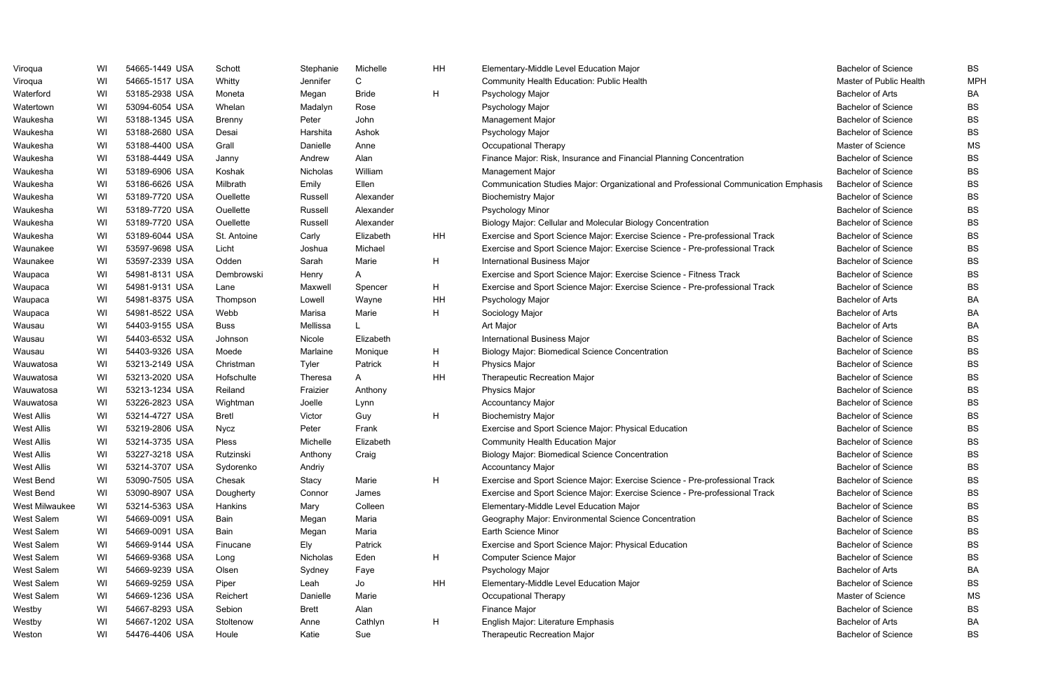| Viroqua           | WI | 54665-1449 USA | Schott       | Stephanie      | Michelle     | HH | Elementary-Middle Level Education Major                                             | <b>Bachelor of Science</b> | <b>BS</b>  |
|-------------------|----|----------------|--------------|----------------|--------------|----|-------------------------------------------------------------------------------------|----------------------------|------------|
| Viroqua           | WI | 54665-1517 USA | Whitty       | Jennifer       |              |    | <b>Community Health Education: Public Health</b>                                    | Master of Public Health    | <b>MPH</b> |
| Waterford         | WI | 53185-2938 USA | Moneta       | Megan          | <b>Bride</b> | H  | Psychology Major                                                                    | <b>Bachelor of Arts</b>    | BA         |
| Watertown         | WI | 53094-6054 USA | Whelan       | Madalyn        | Rose         |    | Psychology Major                                                                    | <b>Bachelor of Science</b> | <b>BS</b>  |
| Waukesha          | WI | 53188-1345 USA | Brenny       | Peter          | John         |    | <b>Management Major</b>                                                             | <b>Bachelor of Science</b> | <b>BS</b>  |
| Waukesha          | WI | 53188-2680 USA | Desai        | Harshita       | Ashok        |    | Psychology Major                                                                    | <b>Bachelor of Science</b> | <b>BS</b>  |
| Waukesha          | WI | 53188-4400 USA | Grall        | Danielle       | Anne         |    | Occupational Therapy                                                                | Master of Science          | <b>MS</b>  |
| Waukesha          | WI | 53188-4449 USA | Janny        | Andrew         | Alan         |    | Finance Major: Risk, Insurance and Financial Planning Concentration                 | <b>Bachelor of Science</b> | <b>BS</b>  |
| Waukesha          | WI | 53189-6906 USA | Koshak       | Nicholas       | William      |    | <b>Management Major</b>                                                             | <b>Bachelor of Science</b> | <b>BS</b>  |
| Waukesha          | WI | 53186-6626 USA | Milbrath     | Emily          | Ellen        |    | Communication Studies Major: Organizational and Professional Communication Emphasis | <b>Bachelor of Science</b> | <b>BS</b>  |
| Waukesha          | WI | 53189-7720 USA | Ouellette    | Russell        | Alexander    |    | <b>Biochemistry Major</b>                                                           | <b>Bachelor of Science</b> | <b>BS</b>  |
| Waukesha          | WI | 53189-7720 USA | Ouellette    | Russell        | Alexander    |    | Psychology Minor                                                                    | <b>Bachelor of Science</b> | <b>BS</b>  |
| Waukesha          | WI | 53189-7720 USA | Ouellette    | Russell        | Alexander    |    | Biology Major: Cellular and Molecular Biology Concentration                         | <b>Bachelor of Science</b> | <b>BS</b>  |
| Waukesha          | WI | 53189-6044 USA | St. Antoine  | Carly          | Elizabeth    | HH | Exercise and Sport Science Major: Exercise Science - Pre-professional Track         | <b>Bachelor of Science</b> | <b>BS</b>  |
| Waunakee          | W  | 53597-9698 USA | Licht        | Joshua         | Michael      |    | Exercise and Sport Science Major: Exercise Science - Pre-professional Track         | <b>Bachelor of Science</b> | <b>BS</b>  |
| Waunakee          | WI | 53597-2339 USA | Odden        | Sarah          | Marie        | H  | <b>International Business Major</b>                                                 | <b>Bachelor of Science</b> | <b>BS</b>  |
| Waupaca           | WI | 54981-8131 USA | Dembrowski   | Henry          | A            |    | Exercise and Sport Science Major: Exercise Science - Fitness Track                  | <b>Bachelor of Science</b> | <b>BS</b>  |
| Waupaca           | WI | 54981-9131 USA | Lane         | Maxwell        | Spencer      | H  | Exercise and Sport Science Major: Exercise Science - Pre-professional Track         | <b>Bachelor of Science</b> | <b>BS</b>  |
| Waupaca           | WI | 54981-8375 USA | Thompson     | Lowell         | Wayne        | HH | Psychology Major                                                                    | <b>Bachelor of Arts</b>    | <b>BA</b>  |
| Waupaca           | WI | 54981-8522 USA | Webb         | Marisa         | Marie        | H  | Sociology Major                                                                     | <b>Bachelor of Arts</b>    | <b>BA</b>  |
| Wausau            | WI | 54403-9155 USA | <b>Buss</b>  | Mellissa       |              |    | Art Major                                                                           | <b>Bachelor of Arts</b>    | BA         |
| Wausau            | WI | 54403-6532 USA | Johnson      | Nicole         | Elizabeth    |    | International Business Major                                                        | <b>Bachelor of Science</b> | <b>BS</b>  |
| Wausau            | WI | 54403-9326 USA | Moede        | Marlaine       | Monique      | H  | <b>Biology Major: Biomedical Science Concentration</b>                              | <b>Bachelor of Science</b> | <b>BS</b>  |
| Wauwatosa         | WI | 53213-2149 USA | Christman    | Tyler          | Patrick      | H  | <b>Physics Major</b>                                                                | <b>Bachelor of Science</b> | <b>BS</b>  |
| Wauwatosa         | WI | 53213-2020 USA | Hofschulte   | <b>Theresa</b> | Α            | HH | <b>Therapeutic Recreation Major</b>                                                 | <b>Bachelor of Science</b> | <b>BS</b>  |
| Wauwatosa         | WI | 53213-1234 USA | Reiland      | Fraizier       | Anthony      |    | <b>Physics Major</b>                                                                | <b>Bachelor of Science</b> | <b>BS</b>  |
| Wauwatosa         | WI | 53226-2823 USA | Wightman     | Joelle         | Lynn         |    | <b>Accountancy Major</b>                                                            | <b>Bachelor of Science</b> | <b>BS</b>  |
| <b>West Allis</b> | WI | 53214-4727 USA | <b>Bretl</b> | Victor         | Guy          | H  | <b>Biochemistry Major</b>                                                           | <b>Bachelor of Science</b> | <b>BS</b>  |
| <b>West Allis</b> | WI | 53219-2806 USA | <b>Nycz</b>  | Peter          | Frank        |    | Exercise and Sport Science Major: Physical Education                                | <b>Bachelor of Science</b> | <b>BS</b>  |
| <b>West Allis</b> | WI | 53214-3735 USA | Pless        | Michelle       | Elizabeth    |    | <b>Community Health Education Major</b>                                             | <b>Bachelor of Science</b> | <b>BS</b>  |
| <b>West Allis</b> | WI | 53227-3218 USA | Rutzinski    | Anthony        | Craig        |    | <b>Biology Major: Biomedical Science Concentration</b>                              | <b>Bachelor of Science</b> | <b>BS</b>  |
| <b>West Allis</b> | WI | 53214-3707 USA | Sydorenko    | Andriy         |              |    | <b>Accountancy Major</b>                                                            | <b>Bachelor of Science</b> | <b>BS</b>  |
| West Bend         | WI | 53090-7505 USA | Chesak       | Stacy          | Marie        | H  | Exercise and Sport Science Major: Exercise Science - Pre-professional Track         | <b>Bachelor of Science</b> | <b>BS</b>  |
| West Bend         | WI | 53090-8907 USA | Dougherty    | Connor         | James        |    | Exercise and Sport Science Major: Exercise Science - Pre-professional Track         | <b>Bachelor of Science</b> | <b>BS</b>  |
| West Milwaukee    | WI | 53214-5363 USA | Hankins      | Mary           | Colleen      |    | Elementary-Middle Level Education Major                                             | <b>Bachelor of Science</b> | <b>BS</b>  |
| West Salem        | WI | 54669-0091 USA | Bain         | Megan          | Maria        |    | Geography Major: Environmental Science Concentration                                | <b>Bachelor of Science</b> | <b>BS</b>  |
| West Salem        | WI | 54669-0091 USA | Bain         | Megan          | Maria        |    | Earth Science Minor                                                                 | <b>Bachelor of Science</b> | <b>BS</b>  |
| West Salem        | WI | 54669-9144 USA | Finucane     | Ely            | Patrick      |    | Exercise and Sport Science Major: Physical Education                                | <b>Bachelor of Science</b> | <b>BS</b>  |
| West Salem        | WI | 54669-9368 USA | Long         | Nicholas       | Eden         | H  | <b>Computer Science Major</b>                                                       | <b>Bachelor of Science</b> | <b>BS</b>  |
| West Salem        | WI | 54669-9239 USA | Olsen        | Sydney         | Faye         |    | Psychology Major                                                                    | Bachelor of Arts           | <b>BA</b>  |
| West Salem        | WI | 54669-9259 USA | Piper        | Leah           | Jo           | HH | Elementary-Middle Level Education Major                                             | <b>Bachelor of Science</b> | <b>BS</b>  |
| West Salem        | WI | 54669-1236 USA | Reichert     | Danielle       | Marie        |    | Occupational Therapy                                                                | Master of Science          | <b>MS</b>  |
| Westby            | WI | 54667-8293 USA | Sebion       | <b>Brett</b>   | Alan         |    | Finance Major                                                                       | <b>Bachelor of Science</b> | <b>BS</b>  |
| Westby            | WI | 54667-1202 USA | Stoltenow    | Anne           | Cathlyn      | H  | English Major: Literature Emphasis                                                  | Bachelor of Arts           | <b>BA</b>  |
| Weston            | WI | 54476-4406 USA | Houle        | Katie          | Sue          |    | <b>Therapeutic Recreation Major</b>                                                 | <b>Bachelor of Science</b> | <b>BS</b>  |